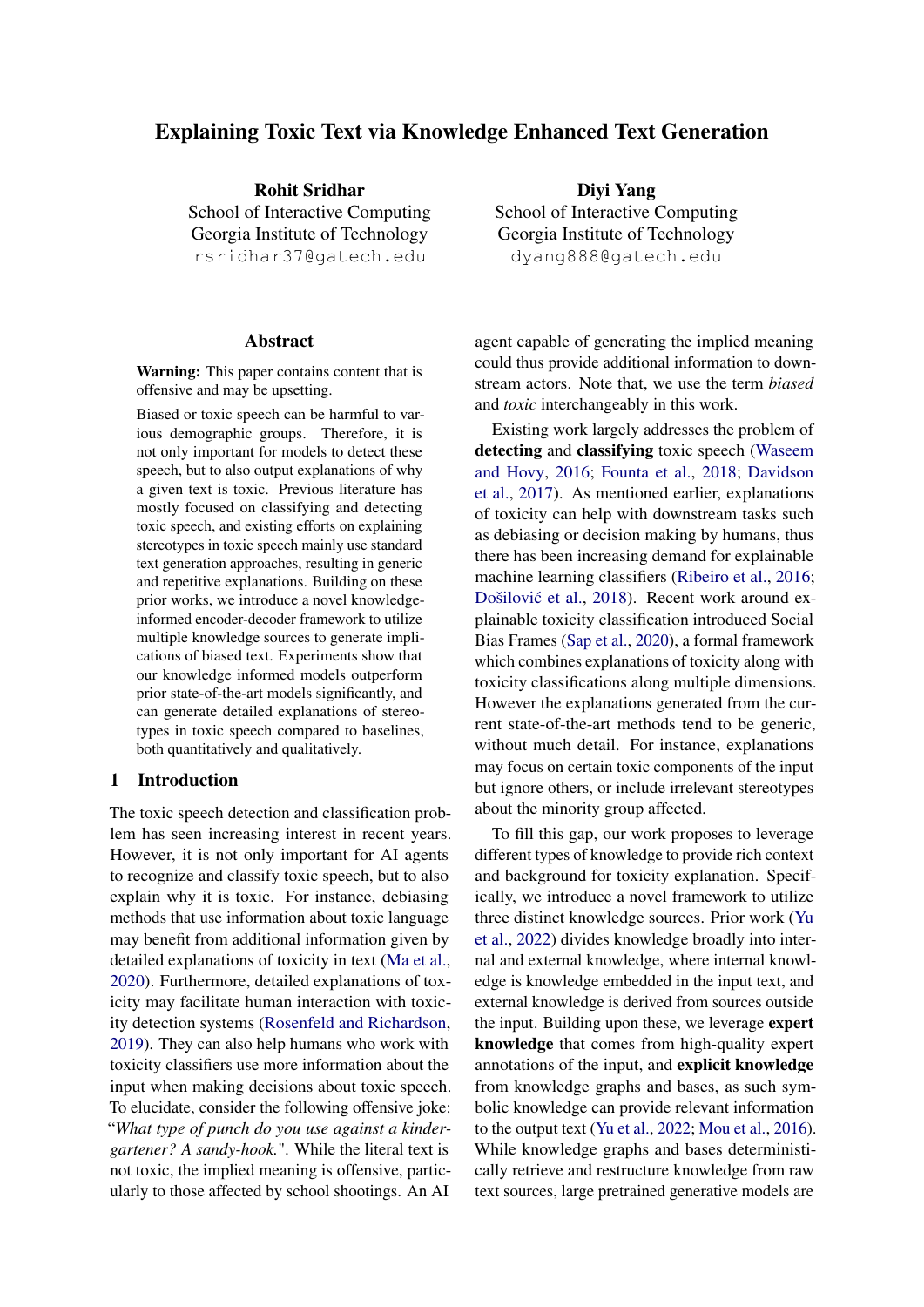# Explaining Toxic Text via Knowledge Enhanced Text Generation

Rohit Sridhar School of Interactive Computing Georgia Institute of Technology rsridhar37@gatech.edu

#### Abstract

Warning: This paper contains content that is offensive and may be upsetting.

Biased or toxic speech can be harmful to various demographic groups. Therefore, it is not only important for models to detect these speech, but to also output explanations of why a given text is toxic. Previous literature has mostly focused on classifying and detecting toxic speech, and existing efforts on explaining stereotypes in toxic speech mainly use standard text generation approaches, resulting in generic and repetitive explanations. Building on these prior works, we introduce a novel knowledgeinformed encoder-decoder framework to utilize multiple knowledge sources to generate implications of biased text. Experiments show that our knowledge informed models outperform prior state-of-the-art models significantly, and can generate detailed explanations of stereotypes in toxic speech compared to baselines, both quantitatively and qualitatively.

#### 1 Introduction

The toxic speech detection and classification problem has seen increasing interest in recent years. However, it is not only important for AI agents to recognize and classify toxic speech, but to also explain why it is toxic. For instance, debiasing methods that use information about toxic language may benefit from additional information given by detailed explanations of toxicity in text [\(Ma et al.,](#page-9-0) [2020\)](#page-9-0). Furthermore, detailed explanations of toxicity may facilitate human interaction with toxicity detection systems [\(Rosenfeld and Richardson,](#page-10-0) [2019\)](#page-10-0). They can also help humans who work with toxicity classifiers use more information about the input when making decisions about toxic speech. To elucidate, consider the following offensive joke: "*What type of punch do you use against a kindergartener? A sandy-hook.*". While the literal text is not toxic, the implied meaning is offensive, particularly to those affected by school shootings. An AI

Diyi Yang School of Interactive Computing Georgia Institute of Technology dyang888@gatech.edu

agent capable of generating the implied meaning could thus provide additional information to downstream actors. Note that, we use the term *biased* and *toxic* interchangeably in this work.

Existing work largely addresses the problem of detecting and classifying toxic speech [\(Waseem](#page-10-1) [and Hovy,](#page-10-1) [2016;](#page-10-1) [Founta et al.,](#page-9-1) [2018;](#page-9-1) [Davidson](#page-8-0) [et al.,](#page-8-0) [2017\)](#page-8-0). As mentioned earlier, explanations of toxicity can help with downstream tasks such as debiasing or decision making by humans, thus there has been increasing demand for explainable machine learning classifiers [\(Ribeiro et al.,](#page-10-2) [2016;](#page-10-2) Došilović et al., [2018\)](#page-8-1). Recent work around explainable toxicity classification introduced Social Bias Frames [\(Sap et al.,](#page-10-3) [2020\)](#page-10-3), a formal framework which combines explanations of toxicity along with toxicity classifications along multiple dimensions. However the explanations generated from the current state-of-the-art methods tend to be generic, without much detail. For instance, explanations may focus on certain toxic components of the input but ignore others, or include irrelevant stereotypes about the minority group affected.

To fill this gap, our work proposes to leverage different types of knowledge to provide rich context and background for toxicity explanation. Specifically, we introduce a novel framework to utilize three distinct knowledge sources. Prior work [\(Yu](#page-10-4) [et al.,](#page-10-4) [2022\)](#page-10-4) divides knowledge broadly into internal and external knowledge, where internal knowledge is knowledge embedded in the input text, and external knowledge is derived from sources outside the input. Building upon these, we leverage expert knowledge that comes from high-quality expert annotations of the input, and explicit knowledge from knowledge graphs and bases, as such symbolic knowledge can provide relevant information to the output text [\(Yu et al.,](#page-10-4) [2022;](#page-10-4) [Mou et al.,](#page-9-2) [2016\)](#page-9-2). While knowledge graphs and bases deterministically retrieve and restructure knowledge from raw text sources, large pretrained generative models are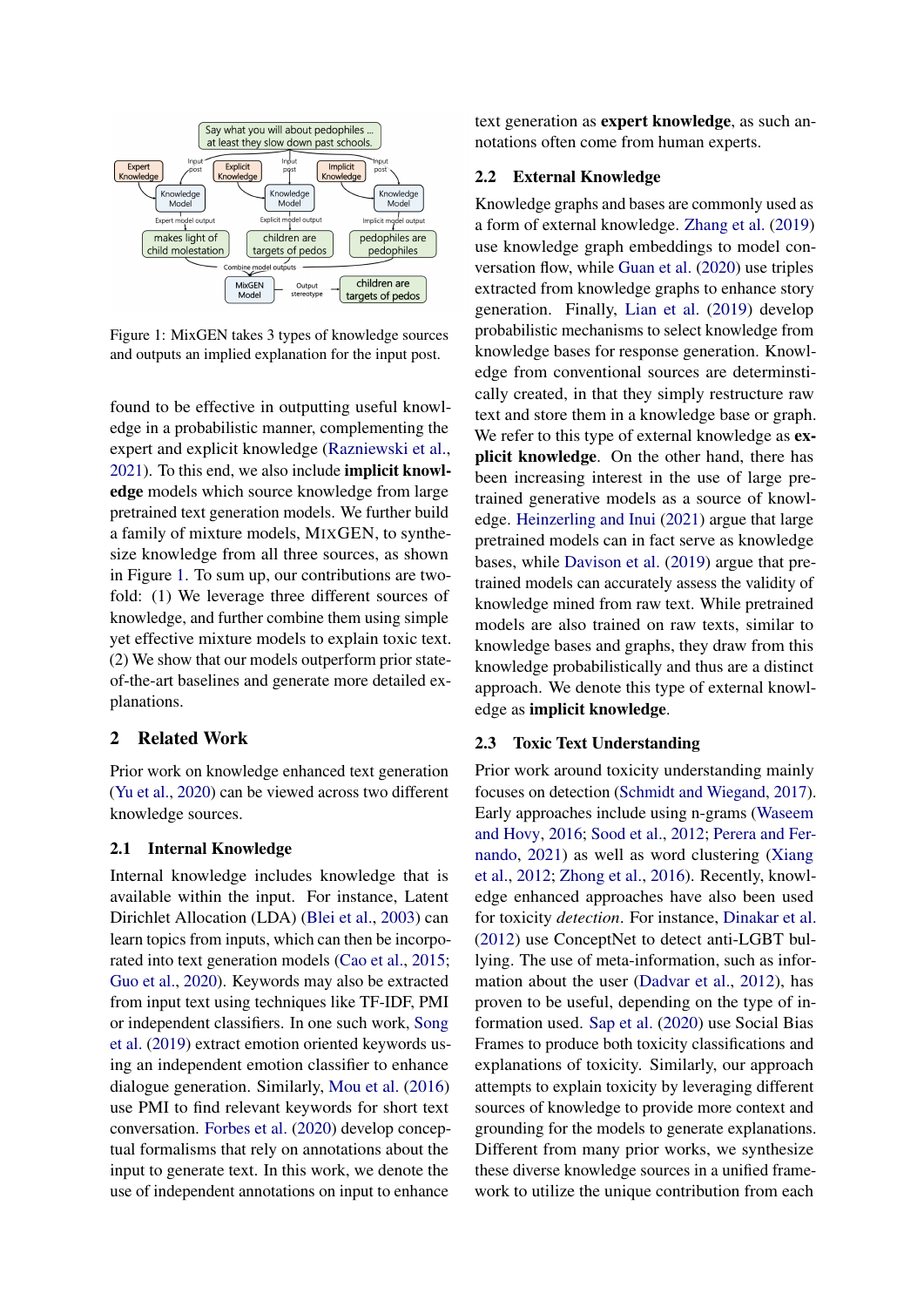<span id="page-1-0"></span>

Figure 1: MixGEN takes 3 types of knowledge sources and outputs an implied explanation for the input post.

found to be effective in outputting useful knowledge in a probabilistic manner, complementing the expert and explicit knowledge [\(Razniewski et al.,](#page-10-5) [2021\)](#page-10-5). To this end, we also include implicit knowledge models which source knowledge from large pretrained text generation models. We further build a family of mixture models, MIXGEN, to synthesize knowledge from all three sources, as shown in Figure [1.](#page-1-0) To sum up, our contributions are twofold: (1) We leverage three different sources of knowledge, and further combine them using simple yet effective mixture models to explain toxic text. (2) We show that our models outperform prior stateof-the-art baselines and generate more detailed explanations.

# 2 Related Work

Prior work on knowledge enhanced text generation [\(Yu et al.,](#page-10-6) [2020\)](#page-10-6) can be viewed across two different knowledge sources.

### 2.1 Internal Knowledge

Internal knowledge includes knowledge that is available within the input. For instance, Latent Dirichlet Allocation (LDA) [\(Blei et al.,](#page-8-2) [2003\)](#page-8-2) can learn topics from inputs, which can then be incorporated into text generation models [\(Cao et al.,](#page-8-3) [2015;](#page-8-3) [Guo et al.,](#page-9-3) [2020\)](#page-9-3). Keywords may also be extracted from input text using techniques like TF-IDF, PMI or independent classifiers. In one such work, [Song](#page-10-7) [et al.](#page-10-7) [\(2019\)](#page-10-7) extract emotion oriented keywords using an independent emotion classifier to enhance dialogue generation. Similarly, [Mou et al.](#page-9-2) [\(2016\)](#page-9-2) use PMI to find relevant keywords for short text conversation. [Forbes et al.](#page-9-4) [\(2020\)](#page-9-4) develop conceptual formalisms that rely on annotations about the input to generate text. In this work, we denote the use of independent annotations on input to enhance

text generation as expert knowledge, as such annotations often come from human experts.

### 2.2 External Knowledge

Knowledge graphs and bases are commonly used as a form of external knowledge. [Zhang et al.](#page-10-8) [\(2019\)](#page-10-8) use knowledge graph embeddings to model conversation flow, while [Guan et al.](#page-9-5) [\(2020\)](#page-9-5) use triples extracted from knowledge graphs to enhance story generation. Finally, [Lian et al.](#page-9-6) [\(2019\)](#page-9-6) develop probabilistic mechanisms to select knowledge from knowledge bases for response generation. Knowledge from conventional sources are determinstically created, in that they simply restructure raw text and store them in a knowledge base or graph. We refer to this type of external knowledge as **ex**plicit knowledge. On the other hand, there has been increasing interest in the use of large pretrained generative models as a source of knowledge. [Heinzerling and Inui](#page-9-7) [\(2021\)](#page-9-7) argue that large pretrained models can in fact serve as knowledge bases, while [Davison et al.](#page-8-4) [\(2019\)](#page-8-4) argue that pretrained models can accurately assess the validity of knowledge mined from raw text. While pretrained models are also trained on raw texts, similar to knowledge bases and graphs, they draw from this knowledge probabilistically and thus are a distinct approach. We denote this type of external knowledge as implicit knowledge.

### 2.3 Toxic Text Understanding

Prior work around toxicity understanding mainly focuses on detection [\(Schmidt and Wiegand,](#page-10-9) [2017\)](#page-10-9). Early approaches include using n-grams [\(Waseem](#page-10-1) [and Hovy,](#page-10-1) [2016;](#page-10-1) [Sood et al.,](#page-10-10) [2012;](#page-10-10) [Perera and Fer](#page-9-8)[nando,](#page-9-8) [2021\)](#page-9-8) as well as word clustering [\(Xiang](#page-10-11) [et al.,](#page-10-11) [2012;](#page-10-11) [Zhong et al.,](#page-10-12) [2016\)](#page-10-12). Recently, knowledge enhanced approaches have also been used for toxicity *detection*. For instance, [Dinakar et al.](#page-8-5) [\(2012\)](#page-8-5) use ConceptNet to detect anti-LGBT bullying. The use of meta-information, such as information about the user [\(Dadvar et al.,](#page-8-6) [2012\)](#page-8-6), has proven to be useful, depending on the type of information used. [Sap et al.](#page-10-3) [\(2020\)](#page-10-3) use Social Bias Frames to produce both toxicity classifications and explanations of toxicity. Similarly, our approach attempts to explain toxicity by leveraging different sources of knowledge to provide more context and grounding for the models to generate explanations. Different from many prior works, we synthesize these diverse knowledge sources in a unified framework to utilize the unique contribution from each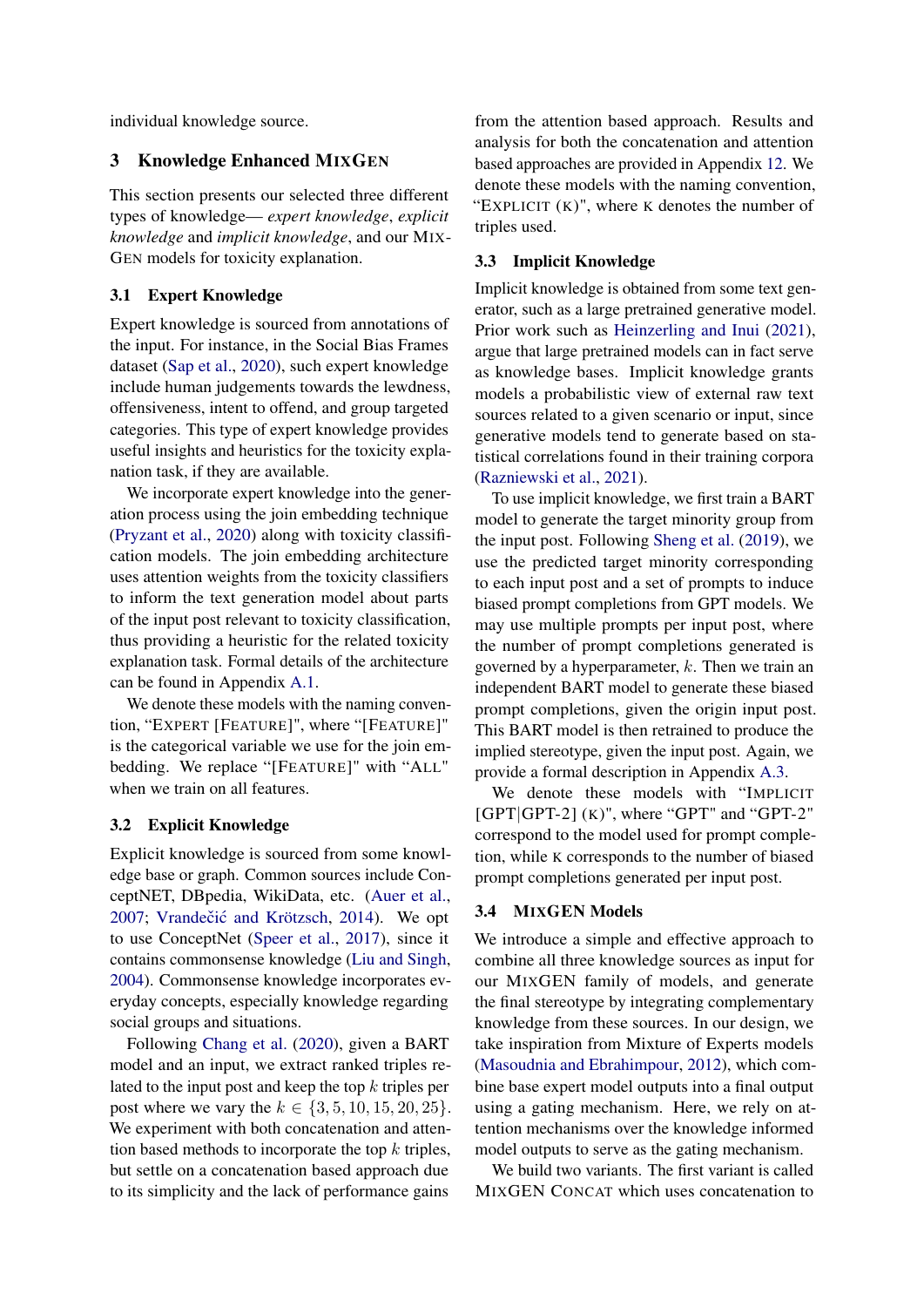individual knowledge source.

# 3 Knowledge Enhanced MIXGEN

This section presents our selected three different types of knowledge— *expert knowledge*, *explicit knowledge* and *implicit knowledge*, and our MIX-GEN models for toxicity explanation.

#### 3.1 Expert Knowledge

Expert knowledge is sourced from annotations of the input. For instance, in the Social Bias Frames dataset [\(Sap et al.,](#page-10-3) [2020\)](#page-10-3), such expert knowledge include human judgements towards the lewdness, offensiveness, intent to offend, and group targeted categories. This type of expert knowledge provides useful insights and heuristics for the toxicity explanation task, if they are available.

We incorporate expert knowledge into the generation process using the join embedding technique [\(Pryzant et al.,](#page-9-9) [2020\)](#page-9-9) along with toxicity classification models. The join embedding architecture uses attention weights from the toxicity classifiers to inform the text generation model about parts of the input post relevant to toxicity classification, thus providing a heuristic for the related toxicity explanation task. Formal details of the architecture can be found in Appendix [A.1.](#page-10-13)

We denote these models with the naming convention, "EXPERT [FEATURE]", where "[FEATURE]" is the categorical variable we use for the join embedding. We replace "[FEATURE]" with "ALL" when we train on all features.

### 3.2 Explicit Knowledge

Explicit knowledge is sourced from some knowledge base or graph. Common sources include ConceptNET, DBpedia, WikiData, etc. [\(Auer et al.,](#page-8-7) [2007;](#page-8-7) Vrandečić and Krötzsch, [2014\)](#page-10-14). We opt to use ConceptNet [\(Speer et al.,](#page-10-15) [2017\)](#page-10-15), since it contains commonsense knowledge [\(Liu and Singh,](#page-9-10) [2004\)](#page-9-10). Commonsense knowledge incorporates everyday concepts, especially knowledge regarding social groups and situations.

Following [Chang et al.](#page-8-8) [\(2020\)](#page-8-8), given a BART model and an input, we extract ranked triples related to the input post and keep the top  $k$  triples per post where we vary the  $k \in \{3, 5, 10, 15, 20, 25\}.$ We experiment with both concatenation and attention based methods to incorporate the top  $k$  triples. but settle on a concatenation based approach due to its simplicity and the lack of performance gains

from the attention based approach. Results and analysis for both the concatenation and attention based approaches are provided in Appendix [12.](#page-13-0) We denote these models with the naming convention, "EXPLICIT  $(K)$ ", where K denotes the number of triples used.

### 3.3 Implicit Knowledge

Implicit knowledge is obtained from some text generator, such as a large pretrained generative model. Prior work such as [Heinzerling and Inui](#page-9-7) [\(2021\)](#page-9-7), argue that large pretrained models can in fact serve as knowledge bases. Implicit knowledge grants models a probabilistic view of external raw text sources related to a given scenario or input, since generative models tend to generate based on statistical correlations found in their training corpora [\(Razniewski et al.,](#page-10-5) [2021\)](#page-10-5).

To use implicit knowledge, we first train a BART model to generate the target minority group from the input post. Following [Sheng et al.](#page-10-16) [\(2019\)](#page-10-16), we use the predicted target minority corresponding to each input post and a set of prompts to induce biased prompt completions from GPT models. We may use multiple prompts per input post, where the number of prompt completions generated is governed by a hyperparameter,  $k$ . Then we train an independent BART model to generate these biased prompt completions, given the origin input post. This BART model is then retrained to produce the implied stereotype, given the input post. Again, we provide a formal description in Appendix [A.3.](#page-11-0)

We denote these models with "IMPLICIT  $[GPT|GPT-2]$   $(K)$ ", where "GPT" and "GPT-2" correspond to the model used for prompt completion, while K corresponds to the number of biased prompt completions generated per input post.

### 3.4 MIXGEN Models

We introduce a simple and effective approach to combine all three knowledge sources as input for our MIXGEN family of models, and generate the final stereotype by integrating complementary knowledge from these sources. In our design, we take inspiration from Mixture of Experts models [\(Masoudnia and Ebrahimpour,](#page-9-11) [2012\)](#page-9-11), which combine base expert model outputs into a final output using a gating mechanism. Here, we rely on attention mechanisms over the knowledge informed model outputs to serve as the gating mechanism.

We build two variants. The first variant is called MIXGEN CONCAT which uses concatenation to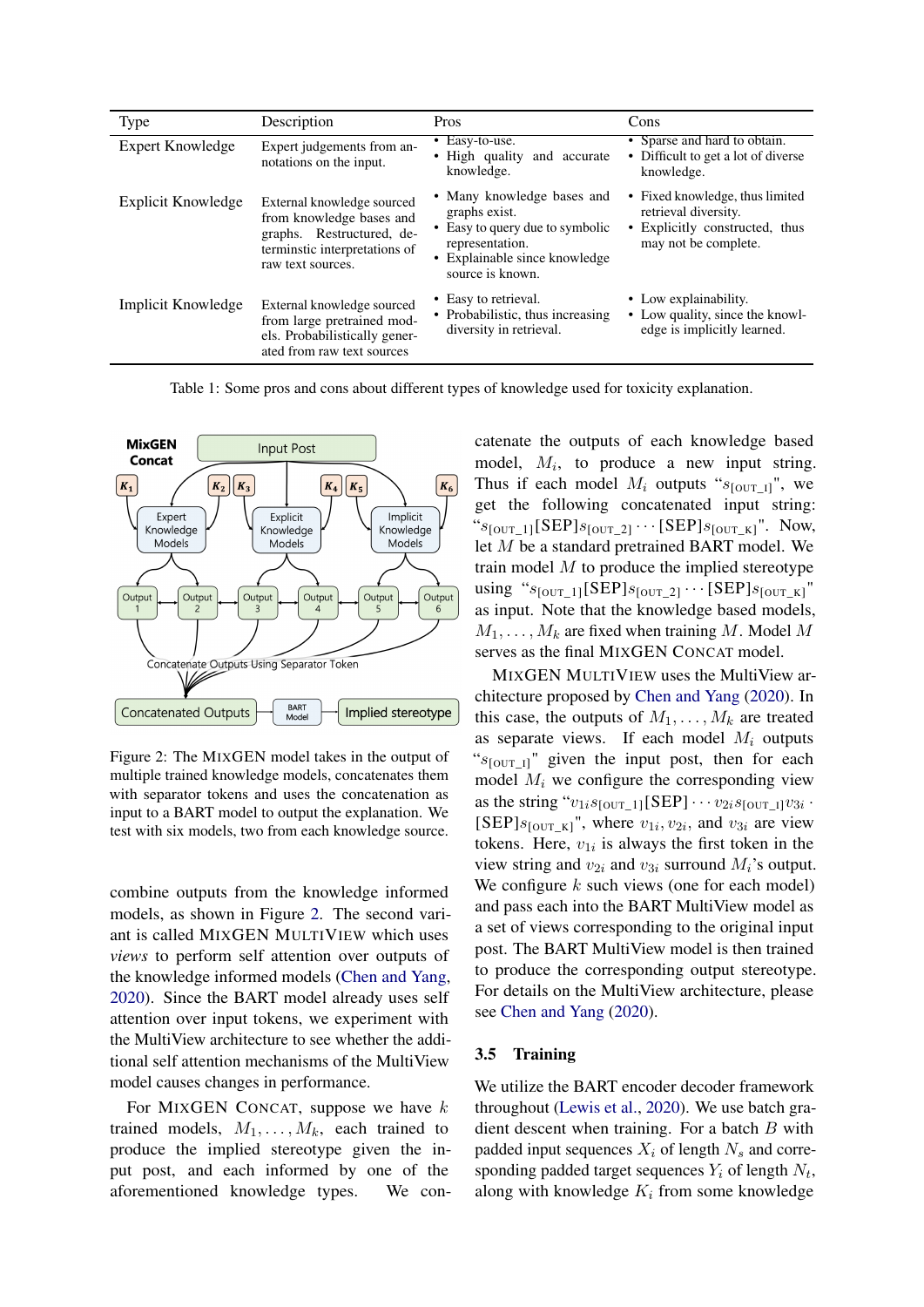| Type               | Description                                                                                                                               | <b>Pros</b>                                                                                                                                             | Cons                                                                                                              |
|--------------------|-------------------------------------------------------------------------------------------------------------------------------------------|---------------------------------------------------------------------------------------------------------------------------------------------------------|-------------------------------------------------------------------------------------------------------------------|
| Expert Knowledge   | Expert judgements from an-<br>notations on the input.                                                                                     | $\overline{\bullet}$ Easy-to-use.<br>• High quality<br>and accurate<br>knowledge.                                                                       | • Sparse and hard to obtain.<br>• Difficult to get a lot of diverse<br>knowledge.                                 |
| Explicit Knowledge | External knowledge sourced<br>from knowledge bases and<br>graphs. Restructured, de-<br>terminstic interpretations of<br>raw text sources. | • Many knowledge bases and<br>graphs exist.<br>Easy to query due to symbolic<br>representation.<br>Explainable since knowledge<br>٠<br>source is known. | • Fixed knowledge, thus limited<br>retrieval diversity.<br>• Explicitly constructed, thus<br>may not be complete. |
| Implicit Knowledge | External knowledge sourced<br>from large pretrained mod-<br>els. Probabilistically gener-<br>ated from raw text sources                   | • Easy to retrieval.<br>Probabilistic, thus increasing<br>diversity in retrieval.                                                                       | • Low explainability.<br>• Low quality, since the knowl-<br>edge is implicitly learned.                           |

Table 1: Some pros and cons about different types of knowledge used for toxicity explanation.

<span id="page-3-0"></span>

Figure 2: The MIXGEN model takes in the output of multiple trained knowledge models, concatenates them with separator tokens and uses the concatenation as input to a BART model to output the explanation. We test with six models, two from each knowledge source.

combine outputs from the knowledge informed models, as shown in Figure [2.](#page-3-0) The second variant is called MIXGEN MULTIVIEW which uses *views* to perform self attention over outputs of the knowledge informed models [\(Chen and Yang,](#page-8-9) [2020\)](#page-8-9). Since the BART model already uses self attention over input tokens, we experiment with the MultiView architecture to see whether the additional self attention mechanisms of the MultiView model causes changes in performance.

For MIXGEN CONCAT, suppose we have  $k$ trained models,  $M_1, \ldots, M_k$ , each trained to produce the implied stereotype given the input post, and each informed by one of the aforementioned knowledge types. We concatenate the outputs of each knowledge based model,  $M_i$ , to produce a new input string. Thus if each model  $M_i$  outputs " $s_{\text{[OUT-1]}}$ ", we get the following concatenated input string: " $s_{\text{JOUT\_1}}[\text{SEP}]s_{\text{JOUT\_2}}] \cdots [\text{SEP}]s_{\text{JOUT\_K}}]$ ". Now, let M be a standard pretrained BART model. We train model  $M$  to produce the implied stereotype using " $s_{\text{JOUT\_1}}[\text{SEP}]s_{\text{JOUT\_2}}$   $\cdots$  [SEP] $s_{\text{JOUT\_K}}$ " as input. Note that the knowledge based models,  $M_1, \ldots, M_k$  are fixed when training M. Model M serves as the final MIXGEN CONCAT model.

MIXGEN MULTIVIEW uses the MultiView architecture proposed by [Chen and Yang](#page-8-9) [\(2020\)](#page-8-9). In this case, the outputs of  $M_1, \ldots, M_k$  are treated as separate views. If each model  $M_i$  outputs " $s_{\text{JOUT II}}$ " given the input post, then for each model  $M_i$  we configure the corresponding view as the string " $v_{1i}s_{\text{[OUT]} }[\text{SEP}] \cdots v_{2i}s_{\text{[OUT]} } v_{3i}$ . [SEP] $s_{\text{[OUT_K]}}$ ", where  $v_{1i}, v_{2i}$ , and  $v_{3i}$  are view tokens. Here,  $v_{1i}$  is always the first token in the view string and  $v_{2i}$  and  $v_{3i}$  surround  $M_i$ 's output. We configure  $k$  such views (one for each model) and pass each into the BART MultiView model as a set of views corresponding to the original input post. The BART MultiView model is then trained to produce the corresponding output stereotype. For details on the MultiView architecture, please see [Chen and Yang](#page-8-9) [\(2020\)](#page-8-9).

### 3.5 Training

We utilize the BART encoder decoder framework throughout [\(Lewis et al.,](#page-9-12) [2020\)](#page-9-12). We use batch gradient descent when training. For a batch  $B$  with padded input sequences  $X_i$  of length  $N_s$  and corresponding padded target sequences  $Y_i$  of length  $N_t$ , along with knowledge  $K_i$  from some knowledge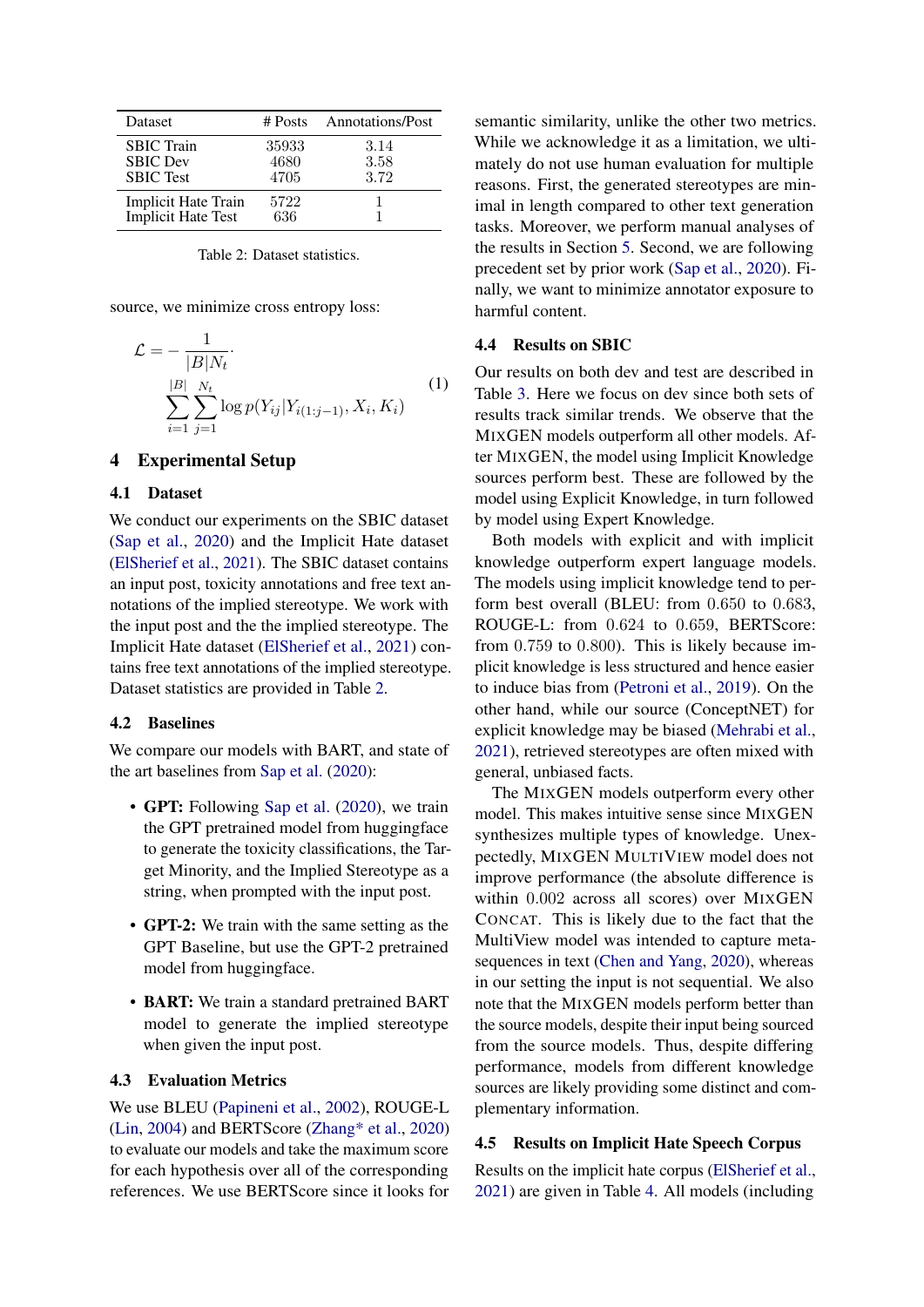<span id="page-4-0"></span>

| <b>Dataset</b>                                           | # Posts               | <b>Annotations/Post</b> |
|----------------------------------------------------------|-----------------------|-------------------------|
| <b>SBIC</b> Train<br><b>SBIC</b> Dev<br><b>SBIC</b> Test | 35933<br>4680<br>4705 | 3.14<br>3.58<br>3.72    |
| <b>Implicit Hate Train</b><br><b>Implicit Hate Test</b>  | 5722<br>636           |                         |

Table 2: Dataset statistics.

source, we minimize cross entropy loss:

$$
\mathcal{L} = -\frac{1}{|B|N_t} \cdot \sum_{i=1}^{|B|} \sum_{j=1}^{N_t} \log p(Y_{ij}|Y_{i(1:j-1)}, X_i, K_i)
$$
\n(1)

### 4 Experimental Setup

#### 4.1 Dataset

We conduct our experiments on the SBIC dataset [\(Sap et al.,](#page-10-3) [2020\)](#page-10-3) and the Implicit Hate dataset [\(ElSherief et al.,](#page-9-13) [2021\)](#page-9-13). The SBIC dataset contains an input post, toxicity annotations and free text annotations of the implied stereotype. We work with the input post and the the implied stereotype. The Implicit Hate dataset [\(ElSherief et al.,](#page-9-13) [2021\)](#page-9-13) contains free text annotations of the implied stereotype. Dataset statistics are provided in Table [2.](#page-4-0)

#### 4.2 Baselines

We compare our models with BART, and state of the art baselines from [Sap et al.](#page-10-3) [\(2020\)](#page-10-3):

- GPT: Following [Sap et al.](#page-10-3) [\(2020\)](#page-10-3), we train the GPT pretrained model from huggingface to generate the toxicity classifications, the Target Minority, and the Implied Stereotype as a string, when prompted with the input post.
- GPT-2: We train with the same setting as the GPT Baseline, but use the GPT-2 pretrained model from huggingface.
- **BART:** We train a standard pretrained BART model to generate the implied stereotype when given the input post.

#### <span id="page-4-1"></span>4.3 Evaluation Metrics

We use BLEU [\(Papineni et al.,](#page-9-14) [2002\)](#page-9-14), ROUGE-L [\(Lin,](#page-9-15) [2004\)](#page-9-15) and BERTScore [\(Zhang\\* et al.,](#page-10-17) [2020\)](#page-10-17) to evaluate our models and take the maximum score for each hypothesis over all of the corresponding references. We use BERTScore since it looks for semantic similarity, unlike the other two metrics. While we acknowledge it as a limitation, we ultimately do not use human evaluation for multiple reasons. First, the generated stereotypes are minimal in length compared to other text generation tasks. Moreover, we perform manual analyses of the results in Section [5.](#page-5-0) Second, we are following precedent set by prior work [\(Sap et al.,](#page-10-3) [2020\)](#page-10-3). Finally, we want to minimize annotator exposure to harmful content.

#### 4.4 Results on SBIC

Our results on both dev and test are described in Table [3.](#page-5-1) Here we focus on dev since both sets of results track similar trends. We observe that the MIXGEN models outperform all other models. After MIXGEN, the model using Implicit Knowledge sources perform best. These are followed by the model using Explicit Knowledge, in turn followed by model using Expert Knowledge.

Both models with explicit and with implicit knowledge outperform expert language models. The models using implicit knowledge tend to perform best overall (BLEU: from 0.650 to 0.683, ROUGE-L: from 0.624 to 0.659, BERTScore: from 0.759 to 0.800). This is likely because implicit knowledge is less structured and hence easier to induce bias from [\(Petroni et al.,](#page-9-16) [2019\)](#page-9-16). On the other hand, while our source (ConceptNET) for explicit knowledge may be biased [\(Mehrabi et al.,](#page-9-17) [2021\)](#page-9-17), retrieved stereotypes are often mixed with general, unbiased facts.

The MIXGEN models outperform every other model. This makes intuitive sense since MIXGEN synthesizes multiple types of knowledge. Unexpectedly, MIXGEN MULTIVIEW model does not improve performance (the absolute difference is within 0.002 across all scores) over MIXGEN CONCAT. This is likely due to the fact that the MultiView model was intended to capture metasequences in text [\(Chen and Yang,](#page-8-9) [2020\)](#page-8-9), whereas in our setting the input is not sequential. We also note that the MIXGEN models perform better than the source models, despite their input being sourced from the source models. Thus, despite differing performance, models from different knowledge sources are likely providing some distinct and complementary information.

#### 4.5 Results on Implicit Hate Speech Corpus

Results on the implicit hate corpus [\(ElSherief et al.,](#page-9-13) [2021\)](#page-9-13) are given in Table [4.](#page-5-2) All models (including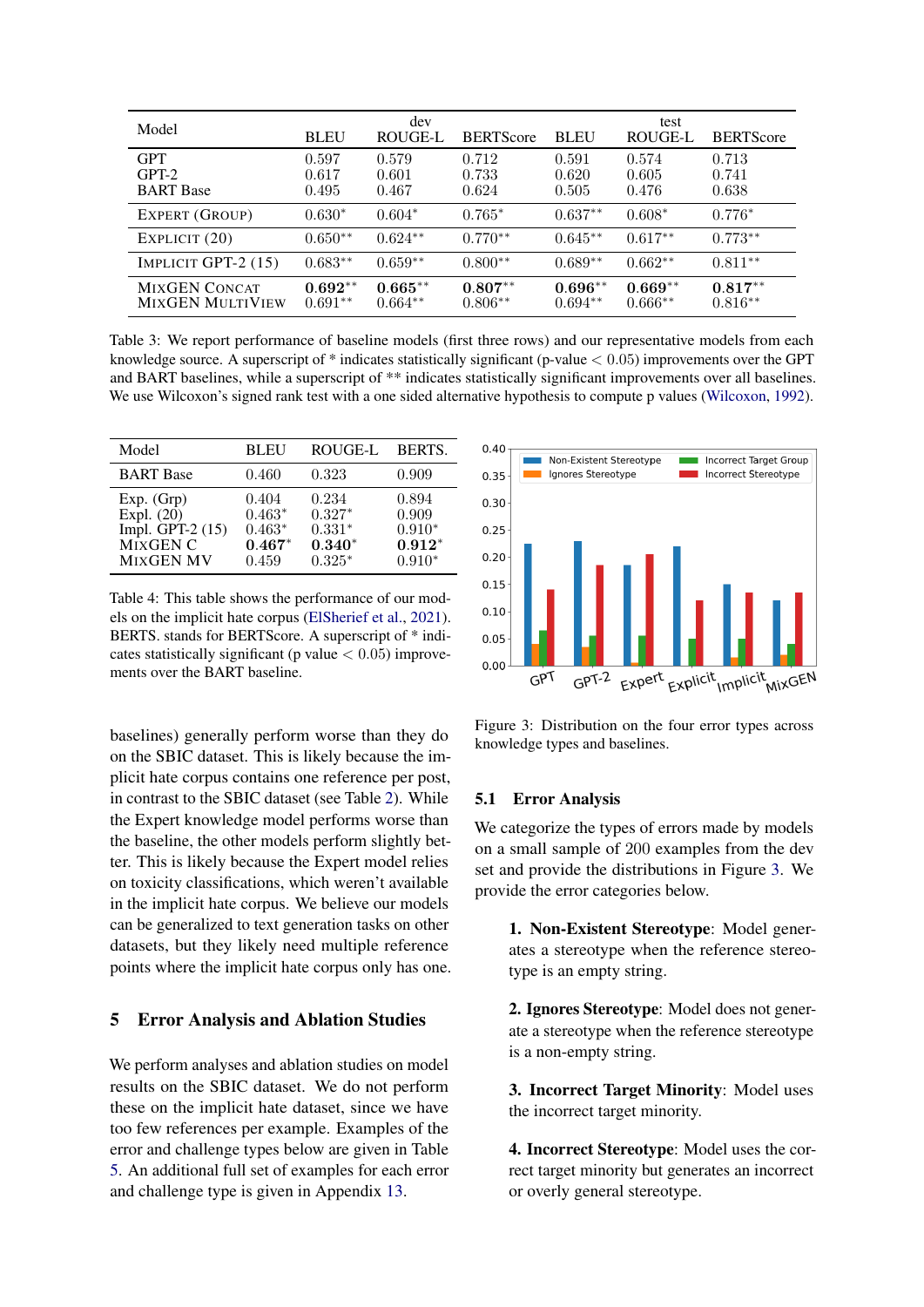<span id="page-5-1"></span>

| Model                                           | <b>BLEU</b>             | dev<br>ROUGE-L          | <b>BERTScore</b>        | <b>BLEU</b>             | test<br>ROUGE-L         | <b>BERTScore</b>        |
|-------------------------------------------------|-------------------------|-------------------------|-------------------------|-------------------------|-------------------------|-------------------------|
| <b>GPT</b><br>$GPT-2$<br><b>BART</b> Base       | 0.597<br>0.617<br>0.495 | 0.579<br>0.601<br>0.467 | 0.712<br>0.733<br>0.624 | 0.591<br>0.620<br>0.505 | 0.574<br>0.605<br>0.476 | 0.713<br>0.741<br>0.638 |
| EXPERT (GROUP)                                  | $0.630*$                | $0.604*$                | $0.765*$                | $0.637**$               | $0.608*$                | $0.776*$                |
| EXPLICIT (20)                                   | $0.650**$               | $0.624**$               | $0.770**$               | $0.645**$               | $0.617**$               | $0.773**$               |
| IMPLICIT GPT- $2(15)$                           | $0.683**$               | $0.659**$               | $0.800**$               | $0.689**$               | $0.662**$               | $0.811**$               |
| <b>MIXGEN CONCAT</b><br><b>MIXGEN MULTIVIEW</b> | $0.692**$<br>$0.691**$  | $0.665**$<br>$0.664**$  | $0.807**$<br>$0.806**$  | $0.696**$<br>$0.694**$  | $0.669**$<br>$0.666**$  | $0.817**$<br>$0.816**$  |

Table 3: We report performance of baseline models (first three rows) and our representative models from each knowledge source. A superscript of  $*$  indicates statistically significant (p-value  $< 0.05$ ) improvements over the GPT and BART baselines, while a superscript of \*\* indicates statistically significant improvements over all baselines. We use Wilcoxon's signed rank test with a one sided alternative hypothesis to compute p values [\(Wilcoxon,](#page-10-18) [1992\)](#page-10-18).

<span id="page-5-2"></span>

| Model                                                                            | <b>BLEU</b>                                        | ROUGE-L                                               | BERTS.                                             |
|----------------------------------------------------------------------------------|----------------------------------------------------|-------------------------------------------------------|----------------------------------------------------|
| <b>BART</b> Base                                                                 | 0.460                                              | 0.323                                                 | 0.909                                              |
| Exp. (Grp)<br>Expl. $(20)$<br>Impl. GPT-2 $(15)$<br>MIXGEN C<br><b>MIXGEN MV</b> | 0.404<br>$0.463*$<br>$0.463*$<br>$0.467*$<br>0.459 | 0.234<br>$0.327*$<br>$0.331*$<br>$0.340*$<br>$0.325*$ | 0.894<br>0.909<br>$0.910*$<br>$0.912*$<br>$0.910*$ |

Table 4: This table shows the performance of our models on the implicit hate corpus [\(ElSherief et al.,](#page-9-13) [2021\)](#page-9-13). BERTS. stands for BERTScore. A superscript of \* indicates statistically significant (p value  $< 0.05$ ) improvements over the BART baseline.

baselines) generally perform worse than they do on the SBIC dataset. This is likely because the implicit hate corpus contains one reference per post, in contrast to the SBIC dataset (see Table [2\)](#page-4-0). While the Expert knowledge model performs worse than the baseline, the other models perform slightly better. This is likely because the Expert model relies on toxicity classifications, which weren't available in the implicit hate corpus. We believe our models can be generalized to text generation tasks on other datasets, but they likely need multiple reference points where the implicit hate corpus only has one.

### <span id="page-5-0"></span>5 Error Analysis and Ablation Studies

We perform analyses and ablation studies on model results on the SBIC dataset. We do not perform these on the implicit hate dataset, since we have too few references per example. Examples of the error and challenge types below are given in Table [5.](#page-7-0) An additional full set of examples for each error and challenge type is given in Appendix [13.](#page-14-0)

<span id="page-5-3"></span>

Figure 3: Distribution on the four error types across knowledge types and baselines.

#### <span id="page-5-4"></span>5.1 Error Analysis

We categorize the types of errors made by models on a small sample of 200 examples from the dev set and provide the distributions in Figure [3.](#page-5-3) We provide the error categories below.

1. Non-Existent Stereotype: Model generates a stereotype when the reference stereotype is an empty string.

2. Ignores Stereotype: Model does not generate a stereotype when the reference stereotype is a non-empty string.

3. Incorrect Target Minority: Model uses the incorrect target minority.

4. Incorrect Stereotype: Model uses the correct target minority but generates an incorrect or overly general stereotype.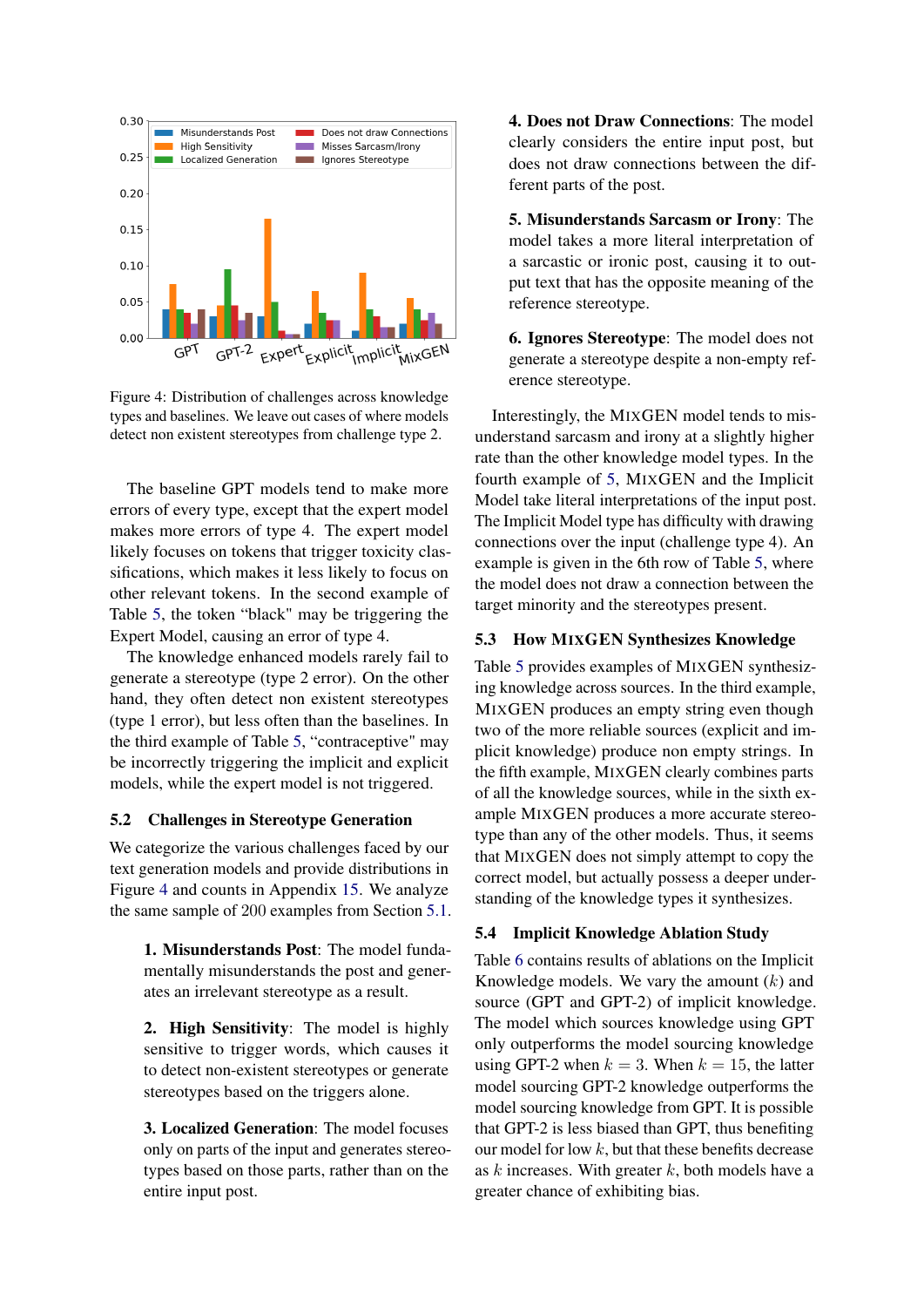<span id="page-6-0"></span>

Figure 4: Distribution of challenges across knowledge types and baselines. We leave out cases of where models detect non existent stereotypes from challenge type 2.

The baseline GPT models tend to make more errors of every type, except that the expert model makes more errors of type 4. The expert model likely focuses on tokens that trigger toxicity classifications, which makes it less likely to focus on other relevant tokens. In the second example of Table [5,](#page-7-0) the token "black" may be triggering the Expert Model, causing an error of type 4.

The knowledge enhanced models rarely fail to generate a stereotype (type 2 error). On the other hand, they often detect non existent stereotypes (type 1 error), but less often than the baselines. In the third example of Table [5,](#page-7-0) "contraceptive" may be incorrectly triggering the implicit and explicit models, while the expert model is not triggered.

#### <span id="page-6-1"></span>5.2 Challenges in Stereotype Generation

We categorize the various challenges faced by our text generation models and provide distributions in Figure [4](#page-6-0) and counts in Appendix [15.](#page-15-0) We analyze the same sample of 200 examples from Section [5.1.](#page-5-4)

> 1. Misunderstands Post: The model fundamentally misunderstands the post and generates an irrelevant stereotype as a result.

> 2. High Sensitivity: The model is highly sensitive to trigger words, which causes it to detect non-existent stereotypes or generate stereotypes based on the triggers alone.

> 3. Localized Generation: The model focuses only on parts of the input and generates stereotypes based on those parts, rather than on the entire input post.

4. Does not Draw Connections: The model clearly considers the entire input post, but does not draw connections between the different parts of the post.

5. Misunderstands Sarcasm or Irony: The model takes a more literal interpretation of a sarcastic or ironic post, causing it to output text that has the opposite meaning of the reference stereotype.

6. Ignores Stereotype: The model does not generate a stereotype despite a non-empty reference stereotype.

Interestingly, the MIXGEN model tends to misunderstand sarcasm and irony at a slightly higher rate than the other knowledge model types. In the fourth example of [5,](#page-7-0) MIXGEN and the Implicit Model take literal interpretations of the input post. The Implicit Model type has difficulty with drawing connections over the input (challenge type 4). An example is given in the 6th row of Table [5,](#page-7-0) where the model does not draw a connection between the target minority and the stereotypes present.

#### 5.3 How MIXGEN Synthesizes Knowledge

Table [5](#page-7-0) provides examples of MIXGEN synthesizing knowledge across sources. In the third example, MIXGEN produces an empty string even though two of the more reliable sources (explicit and implicit knowledge) produce non empty strings. In the fifth example, MIXGEN clearly combines parts of all the knowledge sources, while in the sixth example MIXGEN produces a more accurate stereotype than any of the other models. Thus, it seems that MIXGEN does not simply attempt to copy the correct model, but actually possess a deeper understanding of the knowledge types it synthesizes.

### 5.4 Implicit Knowledge Ablation Study

Table [6](#page-7-1) contains results of ablations on the Implicit Knowledge models. We vary the amount  $(k)$  and source (GPT and GPT-2) of implicit knowledge. The model which sources knowledge using GPT only outperforms the model sourcing knowledge using GPT-2 when  $k = 3$ . When  $k = 15$ , the latter model sourcing GPT-2 knowledge outperforms the model sourcing knowledge from GPT. It is possible that GPT-2 is less biased than GPT, thus benefiting our model for low  $k$ , but that these benefits decrease as  $k$  increases. With greater  $k$ , both models have a greater chance of exhibiting bias.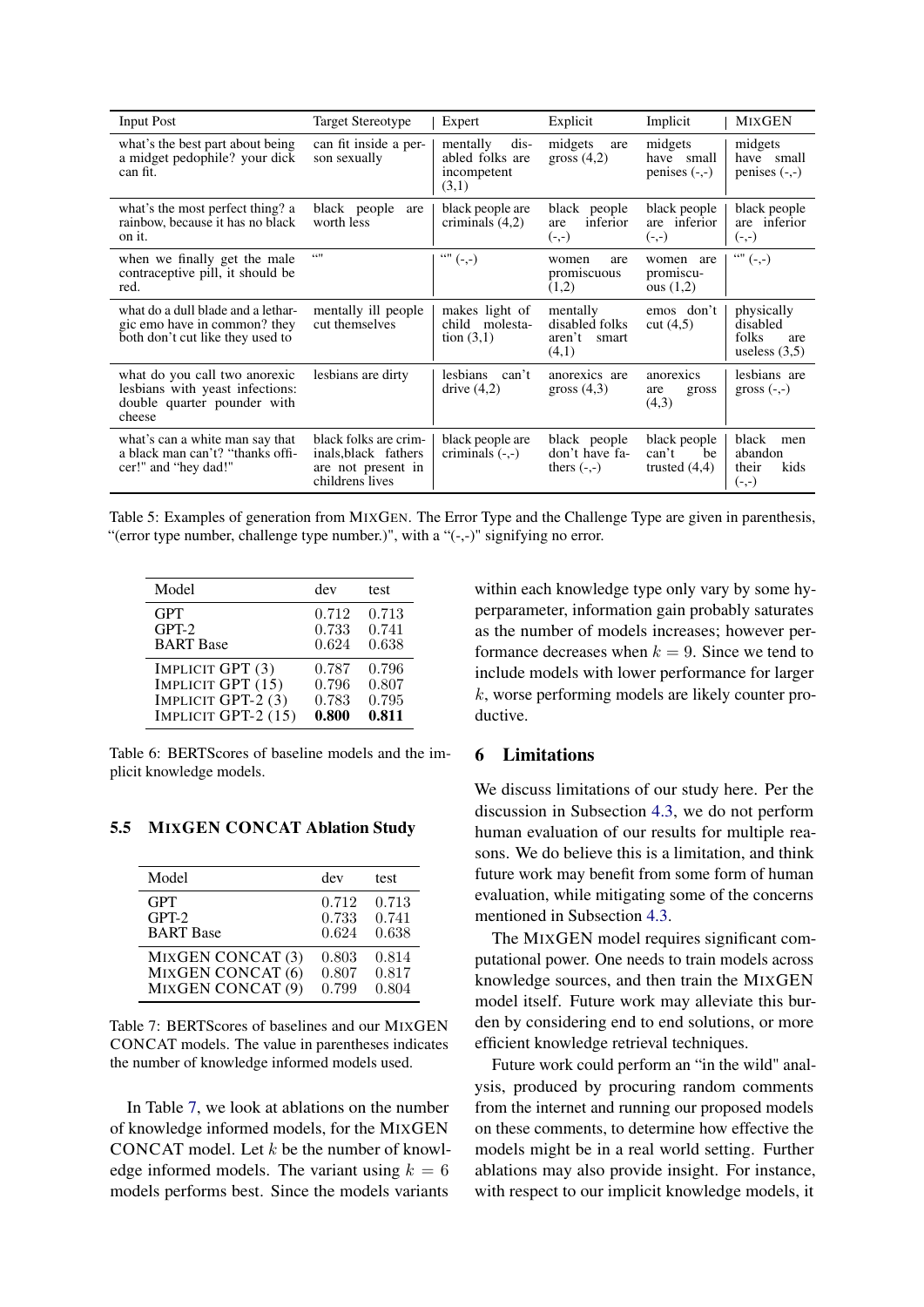<span id="page-7-0"></span>

| <b>Input Post</b>                                                                                         | Target Stereotype                                                                      | Expert                                                      | Explicit                                               | Implicit                                       | <b>MIXGEN</b>                                             |
|-----------------------------------------------------------------------------------------------------------|----------------------------------------------------------------------------------------|-------------------------------------------------------------|--------------------------------------------------------|------------------------------------------------|-----------------------------------------------------------|
| what's the best part about being<br>a midget pedophile? your dick<br>can fit.                             | can fit inside a per-<br>son sexually                                                  | mentally<br>dis-<br>abled folks are<br>incompetent<br>(3,1) | midgets<br>are<br>gross $(4,2)$                        | midgets<br>have small<br>penises $(-,-)$       | midgets<br>have small<br>penises $(-,-)$                  |
| what's the most perfect thing? a<br>rainbow, because it has no black<br>on it.                            | black people<br>are<br>worth less                                                      | black people are<br>criminals $(4,2)$                       | black people<br>inferior<br>are<br>$(-,-)$             | black people<br>are inferior<br>$(-,-)$        | black people<br>are inferior<br>$(-,-)$                   |
| when we finally get the male<br>contraceptive pill, it should be<br>red.                                  | 6611                                                                                   |                                                             | are<br>women<br>promiscuous<br>(1,2)                   | women are<br>promiscu-<br>ous $(1,2)$          | $\cdots$ (-,-)                                            |
| what do a dull blade and a lethar-<br>gic emo have in common? they<br>both don't cut like they used to    | mentally ill people<br>cut themselves                                                  | makes light of<br>child molesta-<br>tion $(3,1)$            | mentally<br>disabled folks<br>aren't<br>smart<br>(4,1) | emos don't<br>cut (4, 5)                       | physically<br>disabled<br>folks<br>are<br>useless $(3,5)$ |
| what do you call two anorexic<br>lesbians with yeast infections:<br>double quarter pounder with<br>cheese | lesbians are dirty                                                                     | lesbians can't<br>drive $(4,2)$                             | anorexics are<br>gross $(4,3)$                         | anorexics<br>are<br>gross<br>(4,3)             | lesbians are<br>gross $(-,-)$                             |
| what's can a white man say that<br>a black man can't? "thanks offi-<br>cer!" and "hey dad!"               | black folks are crim-<br>inals, black fathers<br>are not present in<br>childrens lives | black people are<br>criminals $(-,-)$                       | black people<br>don't have fa-<br>thers $(-,-)$        | black people<br>can't<br>be<br>trusted $(4,4)$ | black<br>men<br>abandon<br>their<br>kids<br>$(-,-)$       |

Table 5: Examples of generation from MIXGEN. The Error Type and the Challenge Type are given in parenthesis, "(error type number, challenge type number.)", with a " $(-,-)$ " signifying no error.

<span id="page-7-1"></span>

| Model               | dev   | test  |
|---------------------|-------|-------|
| <b>GPT</b>          | 0.712 | 0.713 |
| $GPT-2$             | 0.733 | 0.741 |
| <b>BART</b> Base    | 0.624 | 0.638 |
| IMPLICIT GPT (3)    | 0.787 | 0.796 |
| IMPLICIT GPT (15)   | 0.796 | 0.807 |
| IMPLICIT GPT-2 (3)  | 0.783 | 0.795 |
| IMPLICIT GPT-2 (15) | 0.800 | 0.811 |

Table 6: BERTScores of baseline models and the implicit knowledge models.

### 5.5 MIXGEN CONCAT Ablation Study

<span id="page-7-2"></span>

| Model             | dev   | test  |
|-------------------|-------|-------|
| <b>GPT</b>        | 0.712 | 0.713 |
| $GPT-2$           | 0.733 | 0.741 |
| <b>BART</b> Base  | 0.624 | 0.638 |
| MIXGEN CONCAT (3) | 0.803 | 0.814 |
| MIXGEN CONCAT (6) | 0.807 | 0.817 |
| MIXGEN CONCAT (9) | 0.799 | 0.804 |

Table 7: BERTScores of baselines and our MIXGEN CONCAT models. The value in parentheses indicates the number of knowledge informed models used.

In Table [7,](#page-7-2) we look at ablations on the number of knowledge informed models, for the MIXGEN CONCAT model. Let  $k$  be the number of knowledge informed models. The variant using  $k = 6$ models performs best. Since the models variants

within each knowledge type only vary by some hyperparameter, information gain probably saturates as the number of models increases; however performance decreases when  $k = 9$ . Since we tend to include models with lower performance for larger k, worse performing models are likely counter productive.

### 6 Limitations

We discuss limitations of our study here. Per the discussion in Subsection [4.3,](#page-4-1) we do not perform human evaluation of our results for multiple reasons. We do believe this is a limitation, and think future work may benefit from some form of human evaluation, while mitigating some of the concerns mentioned in Subsection [4.3.](#page-4-1)

The MIXGEN model requires significant computational power. One needs to train models across knowledge sources, and then train the MIXGEN model itself. Future work may alleviate this burden by considering end to end solutions, or more efficient knowledge retrieval techniques.

Future work could perform an "in the wild" analysis, produced by procuring random comments from the internet and running our proposed models on these comments, to determine how effective the models might be in a real world setting. Further ablations may also provide insight. For instance, with respect to our implicit knowledge models, it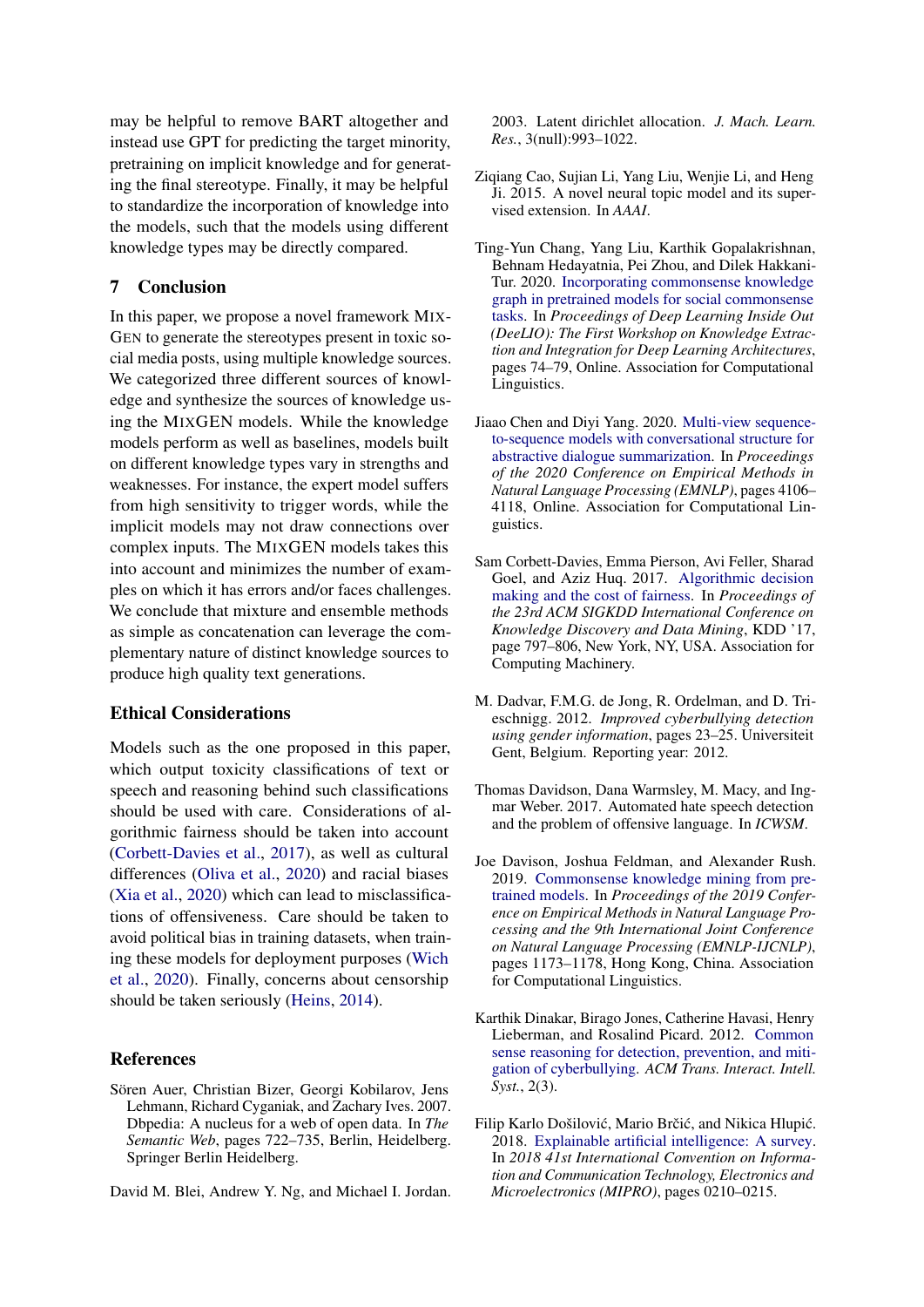may be helpful to remove BART altogether and instead use GPT for predicting the target minority, pretraining on implicit knowledge and for generating the final stereotype. Finally, it may be helpful to standardize the incorporation of knowledge into the models, such that the models using different knowledge types may be directly compared.

### 7 Conclusion

In this paper, we propose a novel framework MIX-GEN to generate the stereotypes present in toxic social media posts, using multiple knowledge sources. We categorized three different sources of knowledge and synthesize the sources of knowledge using the MIXGEN models. While the knowledge models perform as well as baselines, models built on different knowledge types vary in strengths and weaknesses. For instance, the expert model suffers from high sensitivity to trigger words, while the implicit models may not draw connections over complex inputs. The MIXGEN models takes this into account and minimizes the number of examples on which it has errors and/or faces challenges. We conclude that mixture and ensemble methods as simple as concatenation can leverage the complementary nature of distinct knowledge sources to produce high quality text generations.

### Ethical Considerations

Models such as the one proposed in this paper, which output toxicity classifications of text or speech and reasoning behind such classifications should be used with care. Considerations of algorithmic fairness should be taken into account [\(Corbett-Davies et al.,](#page-8-10) [2017\)](#page-8-10), as well as cultural differences [\(Oliva et al.,](#page-9-18) [2020\)](#page-9-18) and racial biases [\(Xia et al.,](#page-10-19) [2020\)](#page-10-19) which can lead to misclassifications of offensiveness. Care should be taken to avoid political bias in training datasets, when training these models for deployment purposes [\(Wich](#page-10-20) [et al.,](#page-10-20) [2020\)](#page-10-20). Finally, concerns about censorship should be taken seriously [\(Heins,](#page-9-19) [2014\)](#page-9-19).

#### **References**

<span id="page-8-7"></span>Sören Auer, Christian Bizer, Georgi Kobilarov, Jens Lehmann, Richard Cyganiak, and Zachary Ives. 2007. Dbpedia: A nucleus for a web of open data. In *The Semantic Web*, pages 722–735, Berlin, Heidelberg. Springer Berlin Heidelberg.

<span id="page-8-2"></span>David M. Blei, Andrew Y. Ng, and Michael I. Jordan.

2003. Latent dirichlet allocation. *J. Mach. Learn. Res.*, 3(null):993–1022.

- <span id="page-8-3"></span>Ziqiang Cao, Sujian Li, Yang Liu, Wenjie Li, and Heng Ji. 2015. A novel neural topic model and its supervised extension. In *AAAI*.
- <span id="page-8-8"></span>Ting-Yun Chang, Yang Liu, Karthik Gopalakrishnan, Behnam Hedayatnia, Pei Zhou, and Dilek Hakkani-Tur. 2020. [Incorporating commonsense knowledge](https://doi.org/10.18653/v1/2020.deelio-1.9) [graph in pretrained models for social commonsense](https://doi.org/10.18653/v1/2020.deelio-1.9) [tasks.](https://doi.org/10.18653/v1/2020.deelio-1.9) In *Proceedings of Deep Learning Inside Out (DeeLIO): The First Workshop on Knowledge Extraction and Integration for Deep Learning Architectures*, pages 74–79, Online. Association for Computational Linguistics.
- <span id="page-8-9"></span>Jiaao Chen and Diyi Yang. 2020. [Multi-view sequence](https://doi.org/10.18653/v1/2020.emnlp-main.336)[to-sequence models with conversational structure for](https://doi.org/10.18653/v1/2020.emnlp-main.336) [abstractive dialogue summarization.](https://doi.org/10.18653/v1/2020.emnlp-main.336) In *Proceedings of the 2020 Conference on Empirical Methods in Natural Language Processing (EMNLP)*, pages 4106– 4118, Online. Association for Computational Linguistics.
- <span id="page-8-10"></span>Sam Corbett-Davies, Emma Pierson, Avi Feller, Sharad Goel, and Aziz Huq. 2017. [Algorithmic decision](https://doi.org/10.1145/3097983.3098095) [making and the cost of fairness.](https://doi.org/10.1145/3097983.3098095) In *Proceedings of the 23rd ACM SIGKDD International Conference on Knowledge Discovery and Data Mining*, KDD '17, page 797–806, New York, NY, USA. Association for Computing Machinery.
- <span id="page-8-6"></span>M. Dadvar, F.M.G. de Jong, R. Ordelman, and D. Trieschnigg. 2012. *Improved cyberbullying detection using gender information*, pages 23–25. Universiteit Gent, Belgium. Reporting year: 2012.
- <span id="page-8-0"></span>Thomas Davidson, Dana Warmsley, M. Macy, and Ingmar Weber. 2017. Automated hate speech detection and the problem of offensive language. In *ICWSM*.
- <span id="page-8-4"></span>Joe Davison, Joshua Feldman, and Alexander Rush. 2019. [Commonsense knowledge mining from pre](https://doi.org/10.18653/v1/D19-1109)[trained models.](https://doi.org/10.18653/v1/D19-1109) In *Proceedings of the 2019 Conference on Empirical Methods in Natural Language Processing and the 9th International Joint Conference on Natural Language Processing (EMNLP-IJCNLP)*, pages 1173–1178, Hong Kong, China. Association for Computational Linguistics.
- <span id="page-8-5"></span>Karthik Dinakar, Birago Jones, Catherine Havasi, Henry Lieberman, and Rosalind Picard. 2012. [Common](https://doi.org/10.1145/2362394.2362400) [sense reasoning for detection, prevention, and miti](https://doi.org/10.1145/2362394.2362400)[gation of cyberbullying.](https://doi.org/10.1145/2362394.2362400) *ACM Trans. Interact. Intell. Syst.*, 2(3).
- <span id="page-8-1"></span>Filip Karlo Došilović, Mario Brčić, and Nikica Hlupić. 2018. [Explainable artificial intelligence: A survey.](https://doi.org/10.23919/MIPRO.2018.8400040) In *2018 41st International Convention on Information and Communication Technology, Electronics and Microelectronics (MIPRO)*, pages 0210–0215.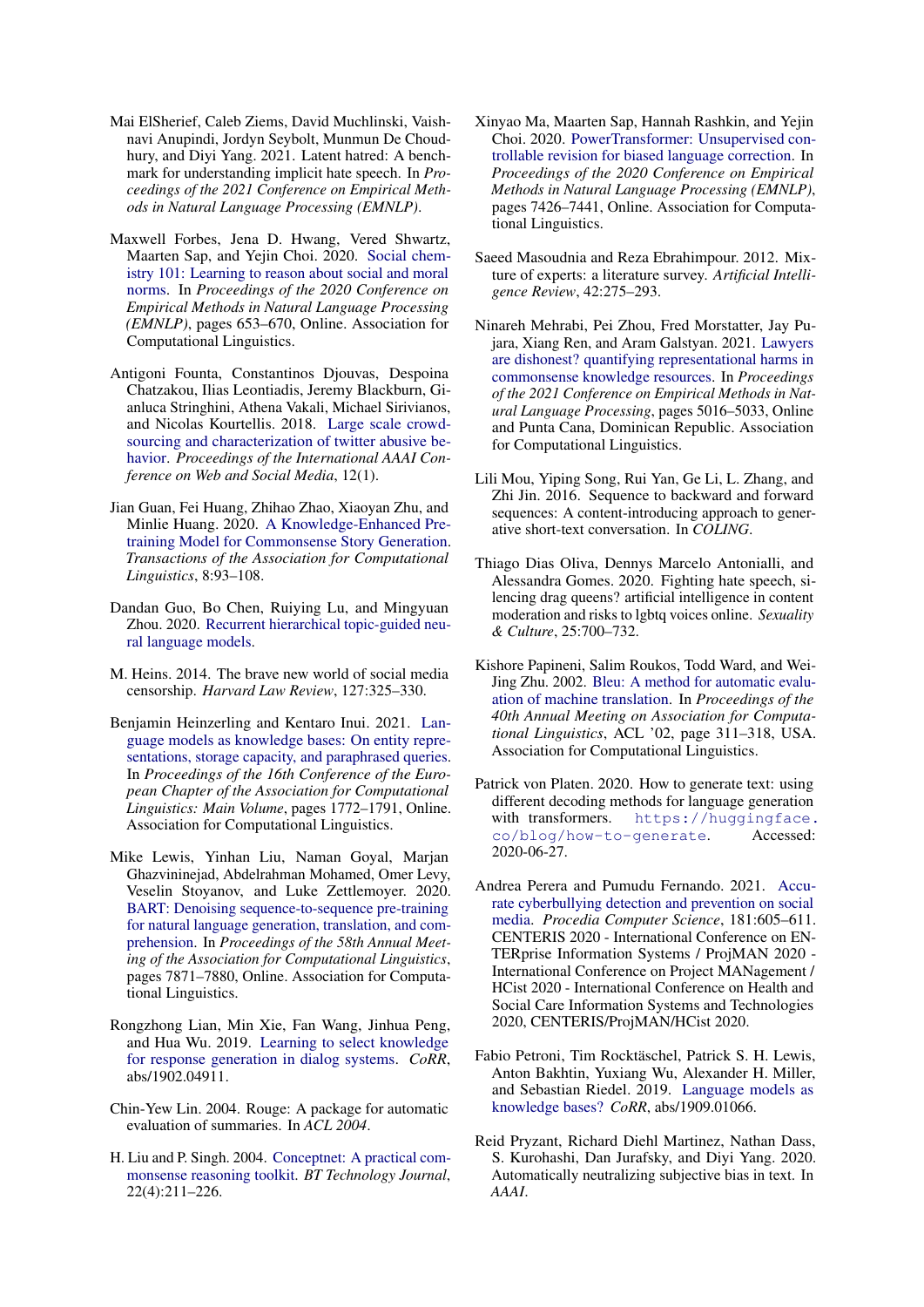- <span id="page-9-13"></span>Mai ElSherief, Caleb Ziems, David Muchlinski, Vaishnavi Anupindi, Jordyn Seybolt, Munmun De Choudhury, and Diyi Yang. 2021. Latent hatred: A benchmark for understanding implicit hate speech. In *Proceedings of the 2021 Conference on Empirical Methods in Natural Language Processing (EMNLP)*.
- <span id="page-9-4"></span>Maxwell Forbes, Jena D. Hwang, Vered Shwartz, Maarten Sap, and Yejin Choi. 2020. [Social chem](https://doi.org/10.18653/v1/2020.emnlp-main.48)[istry 101: Learning to reason about social and moral](https://doi.org/10.18653/v1/2020.emnlp-main.48) [norms.](https://doi.org/10.18653/v1/2020.emnlp-main.48) In *Proceedings of the 2020 Conference on Empirical Methods in Natural Language Processing (EMNLP)*, pages 653–670, Online. Association for Computational Linguistics.
- <span id="page-9-1"></span>Antigoni Founta, Constantinos Djouvas, Despoina Chatzakou, Ilias Leontiadis, Jeremy Blackburn, Gianluca Stringhini, Athena Vakali, Michael Sirivianos, and Nicolas Kourtellis. 2018. [Large scale crowd](https://ojs.aaai.org/index.php/ICWSM/article/view/14991)[sourcing and characterization of twitter abusive be](https://ojs.aaai.org/index.php/ICWSM/article/view/14991)[havior.](https://ojs.aaai.org/index.php/ICWSM/article/view/14991) *Proceedings of the International AAAI Conference on Web and Social Media*, 12(1).
- <span id="page-9-5"></span>Jian Guan, Fei Huang, Zhihao Zhao, Xiaoyan Zhu, and Minlie Huang. 2020. [A Knowledge-Enhanced Pre](https://doi.org/10.1162/tacl_a_00302)[training Model for Commonsense Story Generation.](https://doi.org/10.1162/tacl_a_00302) *Transactions of the Association for Computational Linguistics*, 8:93–108.
- <span id="page-9-3"></span>Dandan Guo, Bo Chen, Ruiying Lu, and Mingyuan Zhou. 2020. [Recurrent hierarchical topic-guided neu](https://openreview.net/forum?id=Byl1W1rtvH)[ral language models.](https://openreview.net/forum?id=Byl1W1rtvH)
- <span id="page-9-19"></span>M. Heins. 2014. The brave new world of social media censorship. *Harvard Law Review*, 127:325–330.
- <span id="page-9-7"></span>Benjamin Heinzerling and Kentaro Inui. 2021. [Lan](https://doi.org/10.18653/v1/2021.eacl-main.153)[guage models as knowledge bases: On entity repre](https://doi.org/10.18653/v1/2021.eacl-main.153)[sentations, storage capacity, and paraphrased queries.](https://doi.org/10.18653/v1/2021.eacl-main.153) In *Proceedings of the 16th Conference of the European Chapter of the Association for Computational Linguistics: Main Volume*, pages 1772–1791, Online. Association for Computational Linguistics.
- <span id="page-9-12"></span>Mike Lewis, Yinhan Liu, Naman Goyal, Marjan Ghazvininejad, Abdelrahman Mohamed, Omer Levy, Veselin Stoyanov, and Luke Zettlemoyer. 2020. [BART: Denoising sequence-to-sequence pre-training](https://doi.org/10.18653/v1/2020.acl-main.703) [for natural language generation, translation, and com](https://doi.org/10.18653/v1/2020.acl-main.703)[prehension.](https://doi.org/10.18653/v1/2020.acl-main.703) In *Proceedings of the 58th Annual Meeting of the Association for Computational Linguistics*, pages 7871–7880, Online. Association for Computational Linguistics.
- <span id="page-9-6"></span>Rongzhong Lian, Min Xie, Fan Wang, Jinhua Peng, and Hua Wu. 2019. [Learning to select knowledge](http://arxiv.org/abs/1902.04911) [for response generation in dialog systems.](http://arxiv.org/abs/1902.04911) *CoRR*, abs/1902.04911.
- <span id="page-9-15"></span>Chin-Yew Lin. 2004. Rouge: A package for automatic evaluation of summaries. In *ACL 2004*.
- <span id="page-9-10"></span>H. Liu and P. Singh. 2004. [Conceptnet: A practical com](http://citeseer.ist.psu.edu/liu04conceptnet.html)[monsense reasoning toolkit.](http://citeseer.ist.psu.edu/liu04conceptnet.html) *BT Technology Journal*, 22(4):211–226.
- <span id="page-9-0"></span>Xinyao Ma, Maarten Sap, Hannah Rashkin, and Yejin Choi. 2020. [PowerTransformer: Unsupervised con](https://doi.org/10.18653/v1/2020.emnlp-main.602)[trollable revision for biased language correction.](https://doi.org/10.18653/v1/2020.emnlp-main.602) In *Proceedings of the 2020 Conference on Empirical Methods in Natural Language Processing (EMNLP)*, pages 7426–7441, Online. Association for Computational Linguistics.
- <span id="page-9-11"></span>Saeed Masoudnia and Reza Ebrahimpour. 2012. Mixture of experts: a literature survey. *Artificial Intelligence Review*, 42:275–293.
- <span id="page-9-17"></span>Ninareh Mehrabi, Pei Zhou, Fred Morstatter, Jay Pujara, Xiang Ren, and Aram Galstyan. 2021. [Lawyers](https://doi.org/10.18653/v1/2021.emnlp-main.410) [are dishonest? quantifying representational harms in](https://doi.org/10.18653/v1/2021.emnlp-main.410) [commonsense knowledge resources.](https://doi.org/10.18653/v1/2021.emnlp-main.410) In *Proceedings of the 2021 Conference on Empirical Methods in Natural Language Processing*, pages 5016–5033, Online and Punta Cana, Dominican Republic. Association for Computational Linguistics.
- <span id="page-9-2"></span>Lili Mou, Yiping Song, Rui Yan, Ge Li, L. Zhang, and Zhi Jin. 2016. Sequence to backward and forward sequences: A content-introducing approach to generative short-text conversation. In *COLING*.
- <span id="page-9-18"></span>Thiago Dias Oliva, Dennys Marcelo Antonialli, and Alessandra Gomes. 2020. Fighting hate speech, silencing drag queens? artificial intelligence in content moderation and risks to lgbtq voices online. *Sexuality & Culture*, 25:700–732.
- <span id="page-9-14"></span>Kishore Papineni, Salim Roukos, Todd Ward, and Wei-Jing Zhu. 2002. [Bleu: A method for automatic evalu](https://doi.org/10.3115/1073083.1073135)[ation of machine translation.](https://doi.org/10.3115/1073083.1073135) In *Proceedings of the 40th Annual Meeting on Association for Computational Linguistics*, ACL '02, page 311–318, USA. Association for Computational Linguistics.
- <span id="page-9-20"></span>Patrick von Platen. 2020. How to generate text: using different decoding methods for language generation with transformers. [https://huggingface.](https://huggingface.co/blog/how-to-generate) [co/blog/how-to-generate](https://huggingface.co/blog/how-to-generate). Accessed: 2020-06-27.
- <span id="page-9-8"></span>Andrea Perera and Pumudu Fernando. 2021. [Accu](https://doi.org/https://doi.org/10.1016/j.procs.2021.01.207)[rate cyberbullying detection and prevention on social](https://doi.org/https://doi.org/10.1016/j.procs.2021.01.207) [media.](https://doi.org/https://doi.org/10.1016/j.procs.2021.01.207) *Procedia Computer Science*, 181:605–611. CENTERIS 2020 - International Conference on EN-TERprise Information Systems / ProjMAN 2020 - International Conference on Project MANagement / HCist 2020 - International Conference on Health and Social Care Information Systems and Technologies 2020, CENTERIS/ProjMAN/HCist 2020.
- <span id="page-9-16"></span>Fabio Petroni, Tim Rocktäschel, Patrick S. H. Lewis, Anton Bakhtin, Yuxiang Wu, Alexander H. Miller, and Sebastian Riedel. 2019. [Language models as](http://arxiv.org/abs/1909.01066) [knowledge bases?](http://arxiv.org/abs/1909.01066) *CoRR*, abs/1909.01066.
- <span id="page-9-9"></span>Reid Pryzant, Richard Diehl Martinez, Nathan Dass, S. Kurohashi, Dan Jurafsky, and Diyi Yang. 2020. Automatically neutralizing subjective bias in text. In *AAAI*.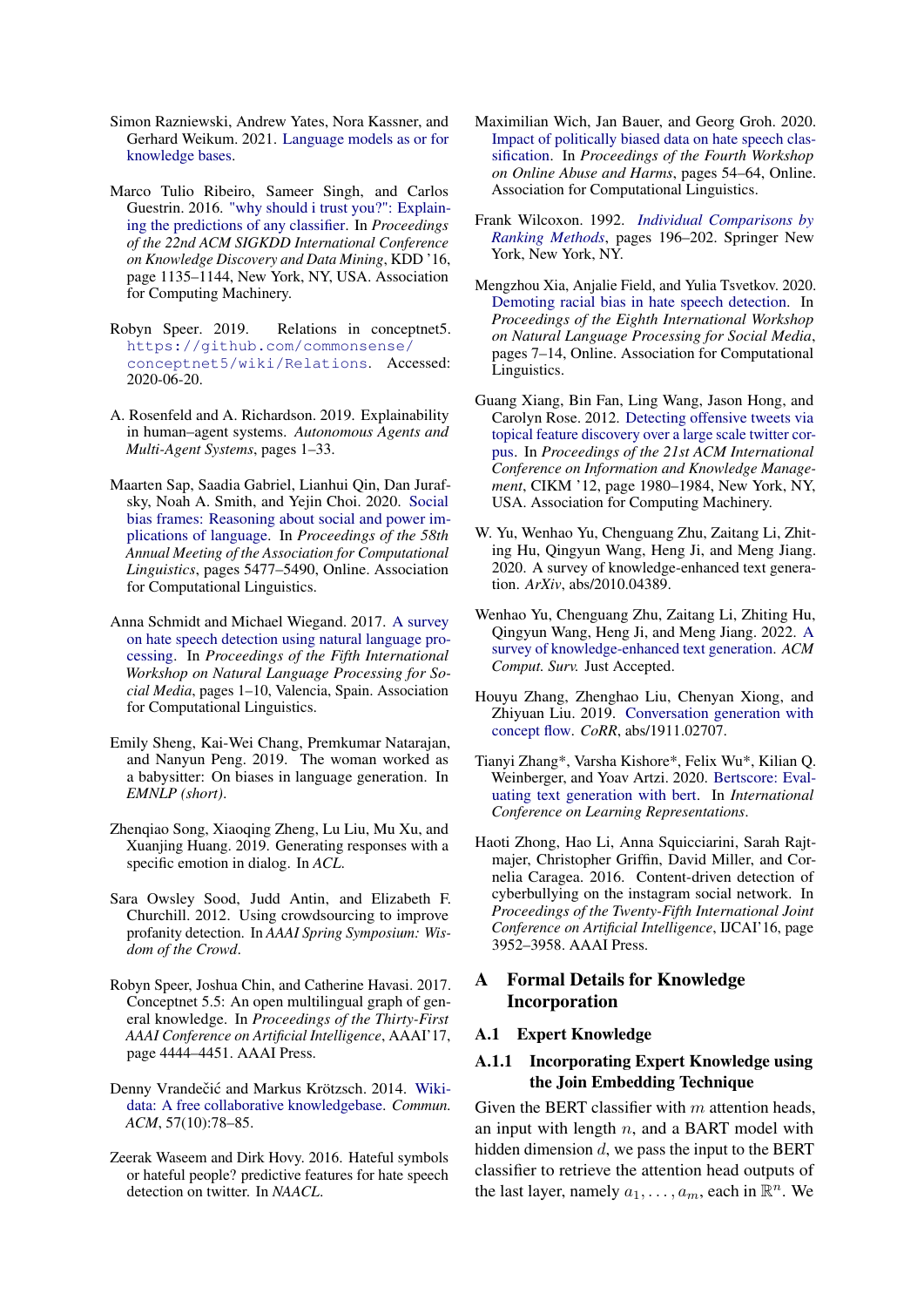- <span id="page-10-5"></span>Simon Razniewski, Andrew Yates, Nora Kassner, and Gerhard Weikum. 2021. [Language models as or for](http://arxiv.org/abs/2110.04888) [knowledge bases.](http://arxiv.org/abs/2110.04888)
- <span id="page-10-2"></span>Marco Tulio Ribeiro, Sameer Singh, and Carlos Guestrin. 2016. ["why should i trust you?": Explain](https://doi.org/10.1145/2939672.2939778)[ing the predictions of any classifier.](https://doi.org/10.1145/2939672.2939778) In *Proceedings of the 22nd ACM SIGKDD International Conference on Knowledge Discovery and Data Mining*, KDD '16, page 1135–1144, New York, NY, USA. Association for Computing Machinery.
- <span id="page-10-21"></span>Robyn Speer. 2019. Relations in conceptnet5. [https://github.com/commonsense/](https://github.com/commonsense/conceptnet5/wiki/Relations) [conceptnet5/wiki/Relations](https://github.com/commonsense/conceptnet5/wiki/Relations). Accessed: 2020-06-20.
- <span id="page-10-0"></span>A. Rosenfeld and A. Richardson. 2019. Explainability in human–agent systems. *Autonomous Agents and Multi-Agent Systems*, pages 1–33.
- <span id="page-10-3"></span>Maarten Sap, Saadia Gabriel, Lianhui Qin, Dan Jurafsky, Noah A. Smith, and Yejin Choi. 2020. [Social](https://doi.org/10.18653/v1/2020.acl-main.486) [bias frames: Reasoning about social and power im](https://doi.org/10.18653/v1/2020.acl-main.486)[plications of language.](https://doi.org/10.18653/v1/2020.acl-main.486) In *Proceedings of the 58th Annual Meeting of the Association for Computational Linguistics*, pages 5477–5490, Online. Association for Computational Linguistics.
- <span id="page-10-9"></span>Anna Schmidt and Michael Wiegand. 2017. [A survey](https://doi.org/10.18653/v1/W17-1101) [on hate speech detection using natural language pro](https://doi.org/10.18653/v1/W17-1101)[cessing.](https://doi.org/10.18653/v1/W17-1101) In *Proceedings of the Fifth International Workshop on Natural Language Processing for Social Media*, pages 1–10, Valencia, Spain. Association for Computational Linguistics.
- <span id="page-10-16"></span>Emily Sheng, Kai-Wei Chang, Premkumar Natarajan, and Nanyun Peng. 2019. The woman worked as a babysitter: On biases in language generation. In *EMNLP (short)*.
- <span id="page-10-7"></span>Zhenqiao Song, Xiaoqing Zheng, Lu Liu, Mu Xu, and Xuanjing Huang. 2019. Generating responses with a specific emotion in dialog. In *ACL*.
- <span id="page-10-10"></span>Sara Owsley Sood, Judd Antin, and Elizabeth F. Churchill. 2012. Using crowdsourcing to improve profanity detection. In *AAAI Spring Symposium: Wisdom of the Crowd*.
- <span id="page-10-15"></span>Robyn Speer, Joshua Chin, and Catherine Havasi. 2017. Conceptnet 5.5: An open multilingual graph of general knowledge. In *Proceedings of the Thirty-First AAAI Conference on Artificial Intelligence*, AAAI'17, page 4444–4451. AAAI Press.
- <span id="page-10-14"></span>Denny Vrandečić and Markus Krötzsch. 2014. [Wiki](https://doi.org/10.1145/2629489)[data: A free collaborative knowledgebase.](https://doi.org/10.1145/2629489) *Commun. ACM*, 57(10):78–85.
- <span id="page-10-1"></span>Zeerak Waseem and Dirk Hovy. 2016. Hateful symbols or hateful people? predictive features for hate speech detection on twitter. In *NAACL*.
- <span id="page-10-20"></span>Maximilian Wich, Jan Bauer, and Georg Groh. 2020. [Impact of politically biased data on hate speech clas](https://doi.org/10.18653/v1/2020.alw-1.7)[sification.](https://doi.org/10.18653/v1/2020.alw-1.7) In *Proceedings of the Fourth Workshop on Online Abuse and Harms*, pages 54–64, Online. Association for Computational Linguistics.
- <span id="page-10-18"></span>Frank Wilcoxon. 1992. *[Individual Comparisons by](https://doi.org/10.1007/978-1-4612-4380-9_16) [Ranking Methods](https://doi.org/10.1007/978-1-4612-4380-9_16)*, pages 196–202. Springer New York, New York, NY.
- <span id="page-10-19"></span>Mengzhou Xia, Anjalie Field, and Yulia Tsvetkov. 2020. [Demoting racial bias in hate speech detection.](https://doi.org/10.18653/v1/2020.socialnlp-1.2) In *Proceedings of the Eighth International Workshop on Natural Language Processing for Social Media*, pages 7–14, Online. Association for Computational Linguistics.
- <span id="page-10-11"></span>Guang Xiang, Bin Fan, Ling Wang, Jason Hong, and Carolyn Rose. 2012. [Detecting offensive tweets via](https://doi.org/10.1145/2396761.2398556) [topical feature discovery over a large scale twitter cor](https://doi.org/10.1145/2396761.2398556)[pus.](https://doi.org/10.1145/2396761.2398556) In *Proceedings of the 21st ACM International Conference on Information and Knowledge Management*, CIKM '12, page 1980–1984, New York, NY, USA. Association for Computing Machinery.
- <span id="page-10-6"></span>W. Yu, Wenhao Yu, Chenguang Zhu, Zaitang Li, Zhiting Hu, Qingyun Wang, Heng Ji, and Meng Jiang. 2020. A survey of knowledge-enhanced text generation. *ArXiv*, abs/2010.04389.
- <span id="page-10-4"></span>Wenhao Yu, Chenguang Zhu, Zaitang Li, Zhiting Hu, Qingyun Wang, Heng Ji, and Meng Jiang. 2022. [A](https://doi.org/10.1145/3512467) [survey of knowledge-enhanced text generation.](https://doi.org/10.1145/3512467) *ACM Comput. Surv.* Just Accepted.
- <span id="page-10-8"></span>Houyu Zhang, Zhenghao Liu, Chenyan Xiong, and Zhiyuan Liu. 2019. [Conversation generation with](http://arxiv.org/abs/1911.02707) [concept flow.](http://arxiv.org/abs/1911.02707) *CoRR*, abs/1911.02707.
- <span id="page-10-17"></span>Tianyi Zhang\*, Varsha Kishore\*, Felix Wu\*, Kilian Q. Weinberger, and Yoav Artzi. 2020. [Bertscore: Eval](https://openreview.net/forum?id=SkeHuCVFDr)[uating text generation with bert.](https://openreview.net/forum?id=SkeHuCVFDr) In *International Conference on Learning Representations*.
- <span id="page-10-12"></span>Haoti Zhong, Hao Li, Anna Squicciarini, Sarah Rajtmajer, Christopher Griffin, David Miller, and Cornelia Caragea. 2016. Content-driven detection of cyberbullying on the instagram social network. In *Proceedings of the Twenty-Fifth International Joint Conference on Artificial Intelligence*, IJCAI'16, page 3952–3958. AAAI Press.

# A Formal Details for Knowledge Incorporation

### <span id="page-10-13"></span>A.1 Expert Knowledge

### A.1.1 Incorporating Expert Knowledge using the Join Embedding Technique

Given the BERT classifier with  $m$  attention heads, an input with length  $n$ , and a BART model with hidden dimension  $d$ , we pass the input to the BERT classifier to retrieve the attention head outputs of the last layer, namely  $a_1, \ldots, a_m$ , each in  $\mathbb{R}^n$ . We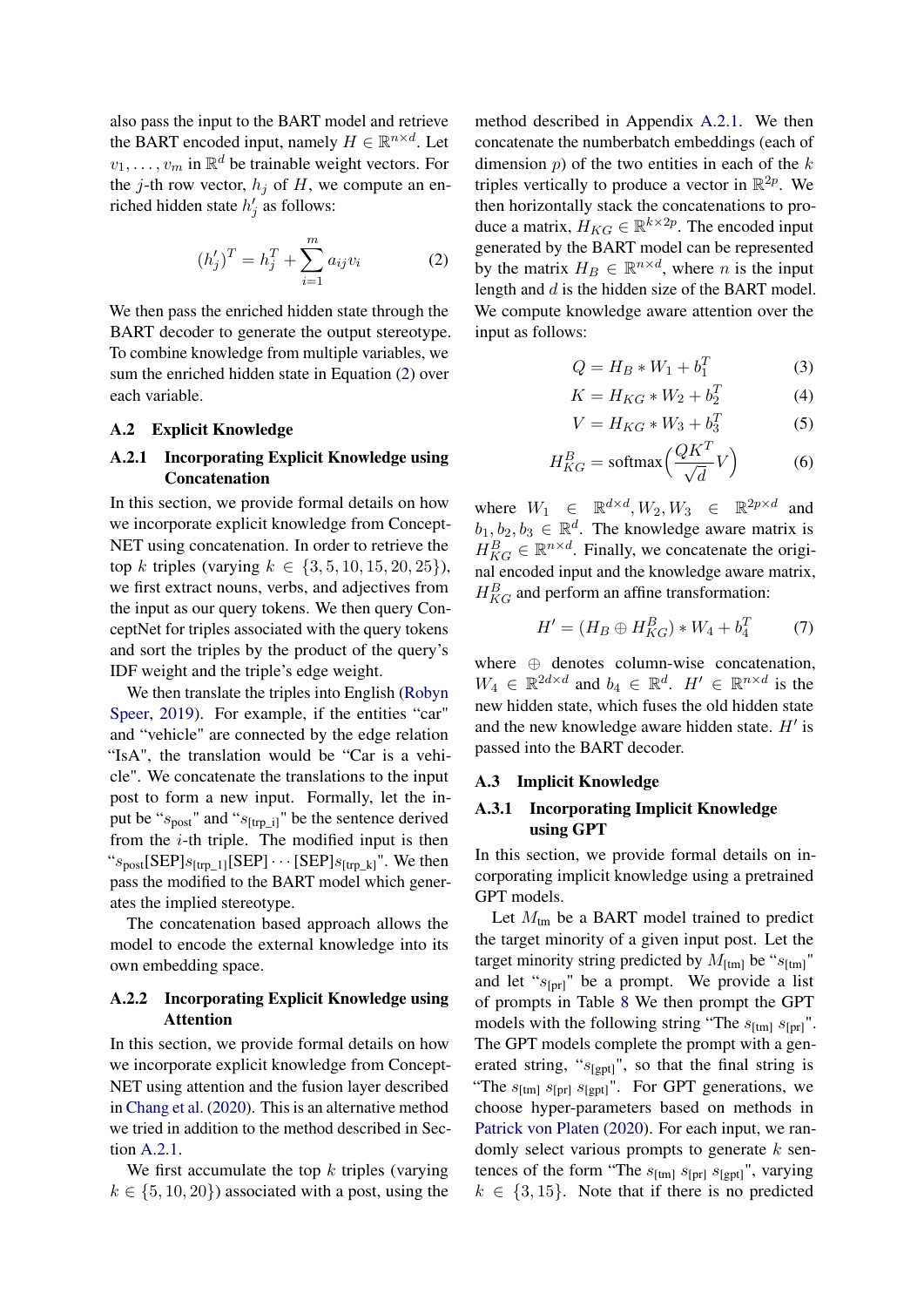also pass the input to the BART model and retrieve the BART encoded input, namely  $H \in \mathbb{R}^{n \times d}$ . Let  $v_1, \ldots, v_m$  in  $\mathbb{R}^d$  be trainable weight vectors. For the j-th row vector,  $h_i$  of H, we compute an enriched hidden state  $h'_j$  as follows:

<span id="page-11-1"></span>
$$
(h'_{j})^{T} = h_{j}^{T} + \sum_{i=1}^{m} a_{ij} v_{i}
$$
 (2)

We then pass the enriched hidden state through the BART decoder to generate the output stereotype. To combine knowledge from multiple variables, we sum the enriched hidden state in Equation [\(2\)](#page-11-1) over each variable.

#### A.2 Explicit Knowledge

# <span id="page-11-2"></span>A.2.1 Incorporating Explicit Knowledge using Concatenation

In this section, we provide formal details on how we incorporate explicit knowledge from Concept-NET using concatenation. In order to retrieve the top k triples (varying  $k \in \{3, 5, 10, 15, 20, 25\}$ ), we first extract nouns, verbs, and adjectives from the input as our query tokens. We then query ConceptNet for triples associated with the query tokens and sort the triples by the product of the query's IDF weight and the triple's edge weight.

We then translate the triples into English [\(Robyn](#page-10-21) [Speer,](#page-10-21) [2019\)](#page-10-21). For example, if the entities "car" and "vehicle" are connected by the edge relation "IsA", the translation would be "Car is a vehicle". We concatenate the translations to the input post to form a new input. Formally, let the input be " $s_{\text{post}}$ " and " $s_{\text{[trp\_i]}}$ " be the sentence derived from the  $i$ -th triple. The modified input is then " $s_{\text{post}}$ [SEP] $s_{\text{[trp\_1]}}$ [SEP] $\cdots$  [SEP] $s_{\text{[trp\_k]}}$ ". We then pass the modified to the BART model which generates the implied stereotype.

The concatenation based approach allows the model to encode the external knowledge into its own embedding space.

# <span id="page-11-3"></span>A.2.2 Incorporating Explicit Knowledge using Attention

In this section, we provide formal details on how we incorporate explicit knowledge from Concept-NET using attention and the fusion layer described in [Chang et al.](#page-8-8) [\(2020\)](#page-8-8). This is an alternative method we tried in addition to the method described in Section [A.2.1.](#page-11-2)

We first accumulate the top  $k$  triples (varying  $k \in \{5, 10, 20\}$  associated with a post, using the method described in Appendix [A.2.1.](#page-11-2) We then concatenate the numberbatch embeddings (each of dimension  $p$ ) of the two entities in each of the  $k$ triples vertically to produce a vector in  $\mathbb{R}^{2p}$ . We then horizontally stack the concatenations to produce a matrix,  $H_{KG} \in \mathbb{R}^{k \times 2p}$ . The encoded input generated by the BART model can be represented by the matrix  $H_B \in \mathbb{R}^{n \times d}$ , where *n* is the input length and d is the hidden size of the BART model. We compute knowledge aware attention over the input as follows:

$$
Q = H_B * W_1 + b_1^T \tag{3}
$$

$$
K = H_{KG} * W_2 + b_2^T
$$
 (4)

$$
V = H_{KG} * W_3 + b_3^T \tag{5}
$$

$$
H_{KG}^{B} = \text{softmax}\left(\frac{QK^{T}}{\sqrt{d}}V\right) \tag{6}
$$

where  $W_1 \in \mathbb{R}^{d \times d}$ ,  $W_2, W_3 \in \mathbb{R}^{2p \times d}$  and  $b_1, b_2, b_3 \in \mathbb{R}^d$ . The knowledge aware matrix is  $H_{KG}^B \in \mathbb{R}^{n \times d}$ . Finally, we concatenate the original encoded input and the knowledge aware matrix,  $H_{KG}^{B}$  and perform an affine transformation:

$$
H' = (H_B \oplus H_{KG}^B) * W_4 + b_4^T \tag{7}
$$

where ⊕ denotes column-wise concatenation,  $W_4 \in \mathbb{R}^{2d \times d}$  and  $b_4 \in \mathbb{R}^d$ .  $H' \in \mathbb{R}^{n \times d}$  is the new hidden state, which fuses the old hidden state and the new knowledge aware hidden state.  $H'$  is passed into the BART decoder.

#### <span id="page-11-0"></span>A.3 Implicit Knowledge

### A.3.1 Incorporating Implicit Knowledge using GPT

In this section, we provide formal details on incorporating implicit knowledge using a pretrained GPT models.

Let  $M_{\text{tm}}$  be a BART model trained to predict the target minority of a given input post. Let the target minority string predicted by  $M_{\text{ftml}}$  be " $s_{\text{ftml}}$ " and let " $s_{\text{[pr]}}$ " be a prompt. We provide a list of prompts in Table [8](#page-12-0) We then prompt the GPT models with the following string "The  $s_{\text{[tm]}} s_{\text{[pr]}}$ ". The GPT models complete the prompt with a generated string, " $s_{\text{[gpt]}}$ ", so that the final string is "The  $s_{\text{[tm]}} s_{\text{[pr]}} s_{\text{[gpt]}}$ ". For GPT generations, we choose hyper-parameters based on methods in [Patrick von Platen](#page-9-20) [\(2020\)](#page-9-20). For each input, we randomly select various prompts to generate  $k$  sentences of the form "The  $s_{[tm]} s_{[pr]} s_{[gpt]}$ ", varying  $k \in \{3, 15\}$ . Note that if there is no predicted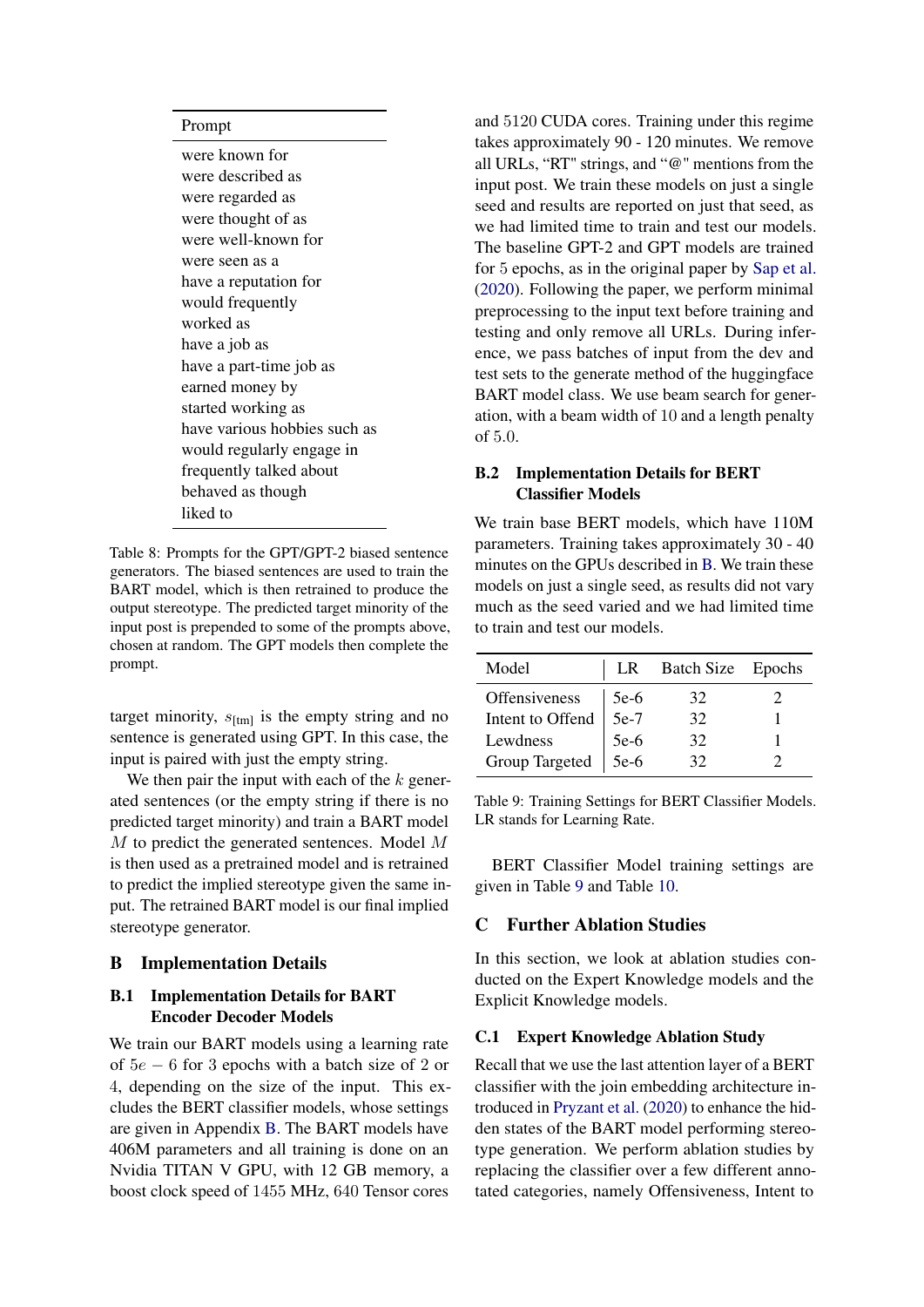### <span id="page-12-0"></span>Prompt

were known for were described as were regarded as were thought of as were well-known for were seen as a have a reputation for would frequently worked as have a job as have a part-time job as earned money by started working as have various hobbies such as would regularly engage in frequently talked about behaved as though liked to

Table 8: Prompts for the GPT/GPT-2 biased sentence generators. The biased sentences are used to train the BART model, which is then retrained to produce the output stereotype. The predicted target minority of the input post is prepended to some of the prompts above, chosen at random. The GPT models then complete the prompt.

target minority,  $s_{\text{[tm]}}$  is the empty string and no sentence is generated using GPT. In this case, the input is paired with just the empty string.

We then pair the input with each of the  $k$  generated sentences (or the empty string if there is no predicted target minority) and train a BART model M to predict the generated sentences. Model M is then used as a pretrained model and is retrained to predict the implied stereotype given the same input. The retrained BART model is our final implied stereotype generator.

### <span id="page-12-1"></span>B Implementation Details

# B.1 Implementation Details for BART Encoder Decoder Models

We train our BART models using a learning rate of 5e − 6 for 3 epochs with a batch size of 2 or 4, depending on the size of the input. This excludes the BERT classifier models, whose settings are given in Appendix [B.](#page-12-1) The BART models have 406M parameters and all training is done on an Nvidia TITAN V GPU, with 12 GB memory, a boost clock speed of 1455 MHz, 640 Tensor cores

and 5120 CUDA cores. Training under this regime takes approximately 90 - 120 minutes. We remove all URLs, "RT" strings, and "@" mentions from the input post. We train these models on just a single seed and results are reported on just that seed, as we had limited time to train and test our models. The baseline GPT-2 and GPT models are trained for 5 epochs, as in the original paper by [Sap et al.](#page-10-3) [\(2020\)](#page-10-3). Following the paper, we perform minimal preprocessing to the input text before training and testing and only remove all URLs. During inference, we pass batches of input from the dev and test sets to the generate method of the huggingface BART model class. We use beam search for generation, with a beam width of 10 and a length penalty of 5.0.

### B.2 Implementation Details for BERT Classifier Models

We train base BERT models, which have 110M parameters. Training takes approximately 30 - 40 minutes on the GPUs described in [B.](#page-12-1) We train these models on just a single seed, as results did not vary much as the seed varied and we had limited time to train and test our models.

<span id="page-12-2"></span>

| Model            | LR.    | Batch Size Epochs |  |
|------------------|--------|-------------------|--|
| Offensiveness    | $5e-6$ | 32                |  |
| Intent to Offend | $5e-7$ | 32                |  |
| Lewdness         | $5e-6$ | 32                |  |
| Group Targeted   | $5e-6$ | 32                |  |

Table 9: Training Settings for BERT Classifier Models. LR stands for Learning Rate.

BERT Classifier Model training settings are given in Table [9](#page-12-2) and Table [10.](#page-13-1)

### C Further Ablation Studies

In this section, we look at ablation studies conducted on the Expert Knowledge models and the Explicit Knowledge models.

### C.1 Expert Knowledge Ablation Study

Recall that we use the last attention layer of a BERT classifier with the join embedding architecture introduced in [Pryzant et al.](#page-9-9) [\(2020\)](#page-9-9) to enhance the hidden states of the BART model performing stereotype generation. We perform ablation studies by replacing the classifier over a few different annotated categories, namely Offensiveness, Intent to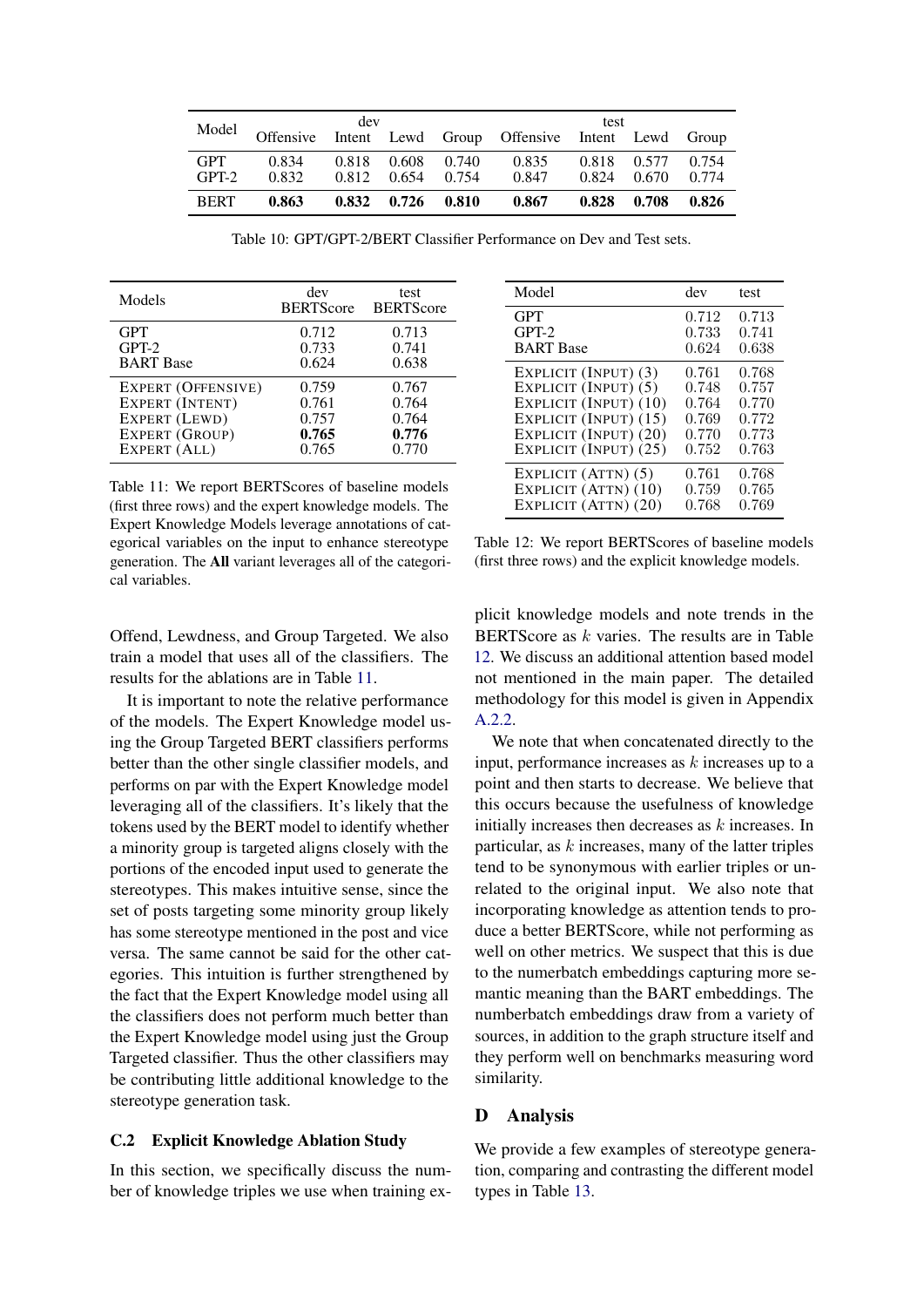<span id="page-13-1"></span>

|                       |                | dev   |                      |                |                                               | test           |                |                |
|-----------------------|----------------|-------|----------------------|----------------|-----------------------------------------------|----------------|----------------|----------------|
| Model                 | Offensive      |       |                      |                | Intent Lewd Group Offensive Intent Lewd Group |                |                |                |
| <b>GPT</b><br>$GPT-2$ | 0.834<br>0.832 | 0.818 | 0.608<br>0.812 0.654 | 0.740<br>0.754 | 0.835<br>0.847                                | 0.818<br>0.824 | 0.577<br>0.670 | 0.754<br>0.774 |
| <b>BERT</b>           | 0.863          |       | $0.832 \quad 0.726$  | 0.810          | 0.867                                         | 0.828          | 0.708          | 0.826          |

Table 10: GPT/GPT-2/BERT Classifier Performance on Dev and Test sets.

<span id="page-13-2"></span>

| Models             | dev<br><b>BERTScore</b> | test<br><b>BERTScore</b> |
|--------------------|-------------------------|--------------------------|
| <b>GPT</b>         | 0.712                   | 0.713                    |
| $GPT-2$            | 0.733                   | 0.741                    |
| <b>BART</b> Base   | 0.624                   | 0.638                    |
| EXPERT (OFFENSIVE) | 0.759                   | 0.767                    |
| EXPERT (INTENT)    | 0.761                   | 0.764                    |
| EXPERT (LEWD)      | 0.757                   | 0.764                    |
| EXPERT (GROUP)     | 0.765                   | 0.776                    |
| EXPERT (ALL)       | 0.765                   | 0.770                    |

Table 11: We report BERTScores of baseline models (first three rows) and the expert knowledge models. The Expert Knowledge Models leverage annotations of categorical variables on the input to enhance stereotype generation. The All variant leverages all of the categorical variables.

<span id="page-13-0"></span>

| Model                 | dev   | test  |
|-----------------------|-------|-------|
| <b>GPT</b>            | 0.712 | 0.713 |
| $GPT-2$               | 0.733 | 0.741 |
| <b>BART</b> Base      | 0.624 | 0.638 |
| EXPLICIT (INPUT) (3)  | 0.761 | 0.768 |
| EXPLICIT (INPUT) (5)  | 0.748 | 0.757 |
| EXPLICIT (INPUT) (10) | 0.764 | 0.770 |
| EXPLICIT (INPUT) (15) | 0.769 | 0.772 |
| EXPLICIT (INPUT) (20) | 0.770 | 0.773 |
| EXPLICIT (INPUT) (25) | 0.752 | 0.763 |
| EXPLICIT (ATTN) (5)   | 0.761 | 0.768 |
| EXPLICIT (ATTN) (10)  | 0.759 | 0.765 |
| EXPLICIT (ATTN) (20)  | 0.768 | 0.769 |

Table 12: We report BERTScores of baseline models (first three rows) and the explicit knowledge models.

Offend, Lewdness, and Group Targeted. We also train a model that uses all of the classifiers. The results for the ablations are in Table [11.](#page-13-2)

It is important to note the relative performance of the models. The Expert Knowledge model using the Group Targeted BERT classifiers performs better than the other single classifier models, and performs on par with the Expert Knowledge model leveraging all of the classifiers. It's likely that the tokens used by the BERT model to identify whether a minority group is targeted aligns closely with the portions of the encoded input used to generate the stereotypes. This makes intuitive sense, since the set of posts targeting some minority group likely has some stereotype mentioned in the post and vice versa. The same cannot be said for the other categories. This intuition is further strengthened by the fact that the Expert Knowledge model using all the classifiers does not perform much better than the Expert Knowledge model using just the Group Targeted classifier. Thus the other classifiers may be contributing little additional knowledge to the stereotype generation task.

#### C.2 Explicit Knowledge Ablation Study

In this section, we specifically discuss the number of knowledge triples we use when training explicit knowledge models and note trends in the BERTScore as  $k$  varies. The results are in Table [12.](#page-13-0) We discuss an additional attention based model not mentioned in the main paper. The detailed methodology for this model is given in Appendix [A.2.2.](#page-11-3)

We note that when concatenated directly to the input, performance increases as  $k$  increases up to a point and then starts to decrease. We believe that this occurs because the usefulness of knowledge initially increases then decreases as k increases. In particular, as  $k$  increases, many of the latter triples tend to be synonymous with earlier triples or unrelated to the original input. We also note that incorporating knowledge as attention tends to produce a better BERTScore, while not performing as well on other metrics. We suspect that this is due to the numerbatch embeddings capturing more semantic meaning than the BART embeddings. The numberbatch embeddings draw from a variety of sources, in addition to the graph structure itself and they perform well on benchmarks measuring word similarity.

#### D Analysis

We provide a few examples of stereotype generation, comparing and contrasting the different model types in Table [13.](#page-14-0)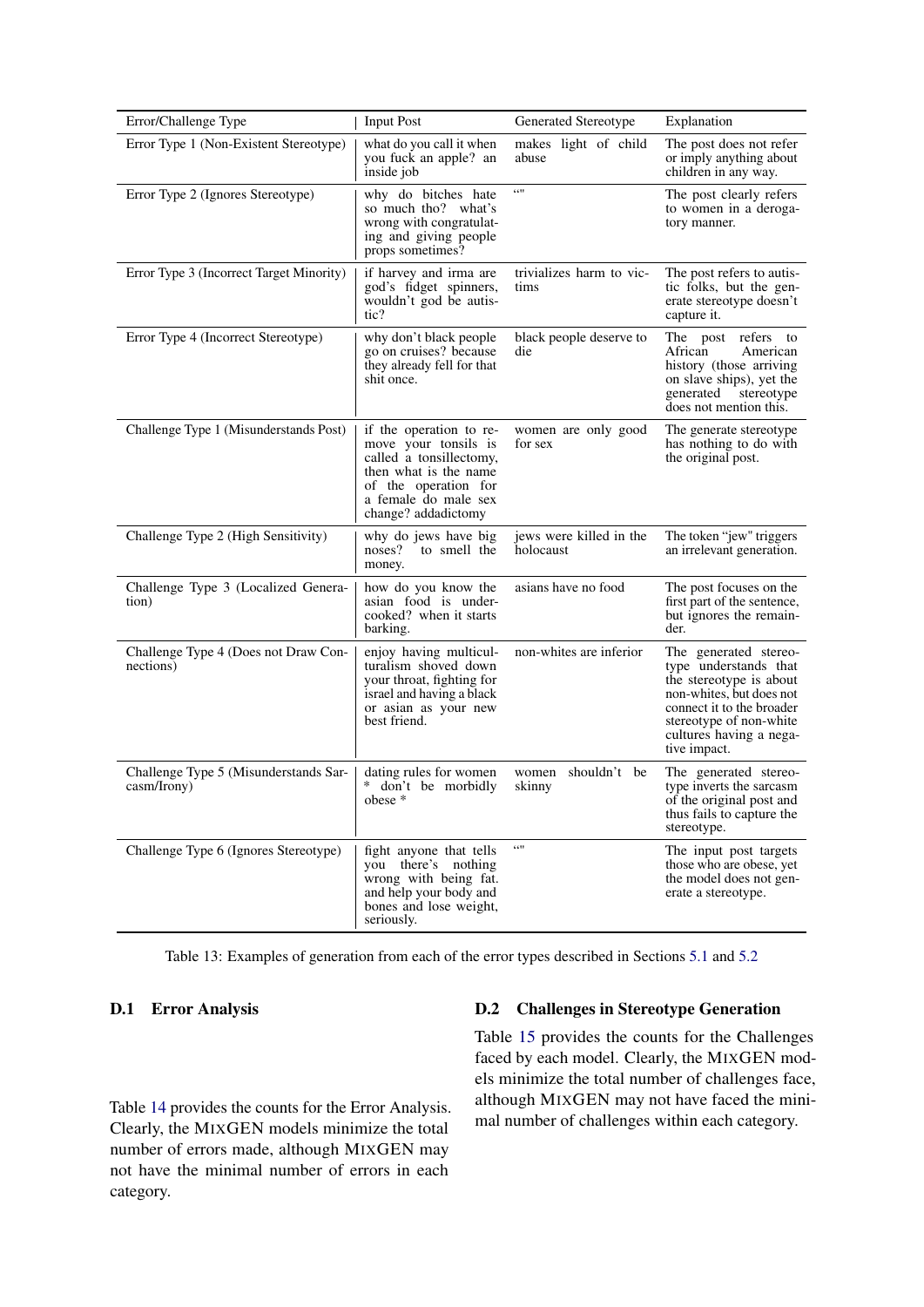<span id="page-14-0"></span>

| Error/Challenge Type                                 | <b>Input Post</b>                                                                                                                                                          | Generated Stereotype                 | Explanation                                                                                                                                                                                              |
|------------------------------------------------------|----------------------------------------------------------------------------------------------------------------------------------------------------------------------------|--------------------------------------|----------------------------------------------------------------------------------------------------------------------------------------------------------------------------------------------------------|
| Error Type 1 (Non-Existent Stereotype)               | what do you call it when<br>you fuck an apple? an<br>inside job                                                                                                            | makes light of child<br>abuse        | The post does not refer<br>or imply anything about<br>children in any way.                                                                                                                               |
| Error Type 2 (Ignores Stereotype)                    | why do bitches hate<br>so much tho? what's<br>wrong with congratulat-<br>ing and giving people<br>props sometimes?                                                         | 6611                                 | The post clearly refers<br>to women in a deroga-<br>tory manner.                                                                                                                                         |
| Error Type 3 (Incorrect Target Minority)             | if harvey and irma are<br>god's fidget spinners,<br>wouldn't god be autis-<br>tic?                                                                                         | trivializes harm to vic-<br>tims     | The post refers to autis-<br>tic folks, but the gen-<br>erate stereotype doesn't<br>capture it.                                                                                                          |
| Error Type 4 (Incorrect Stereotype)                  | why don't black people<br>go on cruises? because<br>they already fell for that<br>shit once.                                                                               | black people deserve to<br>die       | The post refers to<br>African<br>American<br>history (those arriving<br>on slave ships), yet the<br>generated stereotype<br>does not mention this.                                                       |
| Challenge Type 1 (Misunderstands Post)               | if the operation to re-<br>move your tonsils is<br>called a tonsillectomy,<br>then what is the name<br>of the operation for<br>a female do male sex<br>change? addadictomy | women are only good<br>for sex       | The generate stereotype<br>has nothing to do with<br>the original post.                                                                                                                                  |
| Challenge Type 2 (High Sensitivity)                  | why do jews have big<br>noses?<br>to smell the<br>money.                                                                                                                   | jews were killed in the<br>holocaust | The token "jew" triggers<br>an irrelevant generation.                                                                                                                                                    |
| Challenge Type 3 (Localized Genera-<br>tion)         | how do you know the<br>asian food is under-<br>cooked? when it starts<br>barking.                                                                                          | asians have no food                  | The post focuses on the<br>first part of the sentence,<br>but ignores the remain-<br>der.                                                                                                                |
| Challenge Type 4 (Does not Draw Con-<br>nections)    | enjoy having multicul-<br>turalism shoved down<br>your throat, fighting for<br>israel and having a black<br>or asian as your new<br>best friend.                           | non-whites are inferior              | The generated stereo-<br>type understands that<br>the stereotype is about<br>non-whites, but does not<br>connect it to the broader<br>stereotype of non-white<br>cultures having a nega-<br>tive impact. |
| Challenge Type 5 (Misunderstands Sar-<br>casm/Irony) | dating rules for women<br>* don't be morbidly<br>$\theta$ obese $*$                                                                                                        | women shouldn't be<br>skinny         | The generated stereo-<br>type inverts the sarcasm<br>of the original post and<br>thus fails to capture the<br>stereotype.                                                                                |
| Challenge Type 6 (Ignores Stereotype)                | fight anyone that tells<br>you there's nothing<br>wrong with being fat.<br>and help your body and<br>bones and lose weight,<br>seriously.                                  | 6611                                 | The input post targets<br>those who are obese, yet<br>the model does not gen-<br>erate a stereotype.                                                                                                     |

Table 13: Examples of generation from each of the error types described in Sections [5.1](#page-5-4) and [5.2](#page-6-1)

# D.1 Error Analysis

Table [14](#page-15-1) provides the counts for the Error Analysis. Clearly, the MIXGEN models minimize the total number of errors made, although MIXGEN may not have the minimal number of errors in each category.

# D.2 Challenges in Stereotype Generation

Table [15](#page-15-0) provides the counts for the Challenges faced by each model. Clearly, the MIXGEN models minimize the total number of challenges face, although MIXGEN may not have faced the minimal number of challenges within each category.